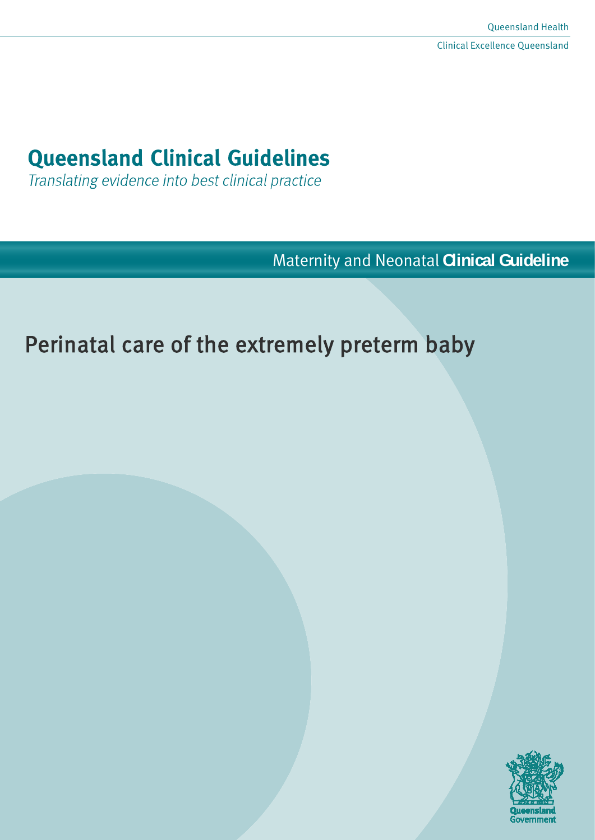## **Queensland Clinical Guidelines**

Translating evidence into best clinical practice

Maternity and Neonatal **Clinical Guideline**

# Perinatal care of the extremely preterm baby

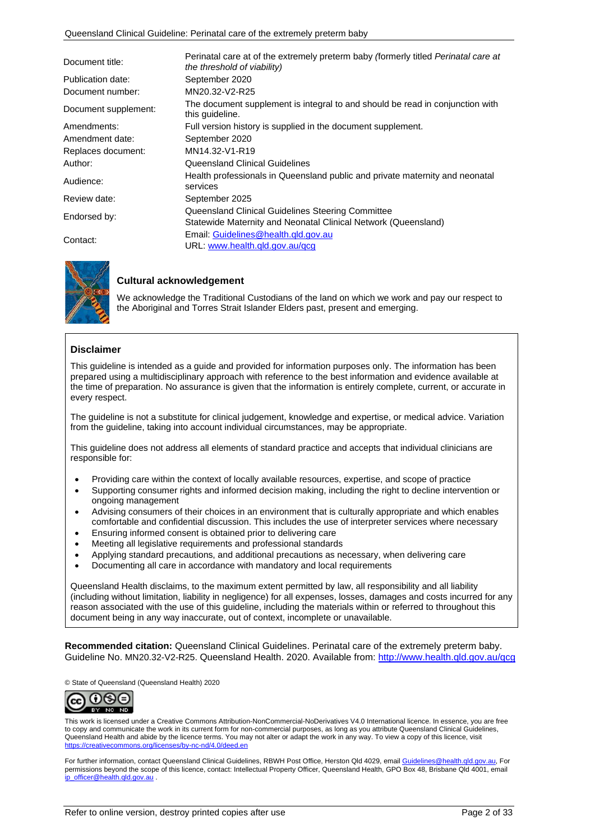| Document title:      | Perinatal care at of the extremely preterm baby (formerly titled Perinatal care at<br>the threshold of viability) |  |  |
|----------------------|-------------------------------------------------------------------------------------------------------------------|--|--|
| Publication date:    | September 2020                                                                                                    |  |  |
| Document number:     | MN20.32-V2-R25                                                                                                    |  |  |
| Document supplement: | The document supplement is integral to and should be read in conjunction with<br>this guideline.                  |  |  |
| Amendments:          | Full version history is supplied in the document supplement.                                                      |  |  |
| Amendment date:      | September 2020                                                                                                    |  |  |
| Replaces document:   | MN14.32-V1-R19                                                                                                    |  |  |
| Author:              | Queensland Clinical Guidelines                                                                                    |  |  |
| Audience:            | Health professionals in Queensland public and private maternity and neonatal<br>services                          |  |  |
| Review date:         | September 2025                                                                                                    |  |  |
|                      | Queensland Clinical Guidelines Steering Committee                                                                 |  |  |
| Endorsed by:         | Statewide Maternity and Neonatal Clinical Network (Queensland)                                                    |  |  |
|                      | Email: Guidelines@health.gld.gov.au                                                                               |  |  |
| Contact:             | URL: www.health.gld.gov.au/gcg                                                                                    |  |  |



#### **Cultural acknowledgement**

We acknowledge the Traditional Custodians of the land on which we work and pay our respect to the Aboriginal and Torres Strait Islander Elders past, present and emerging.

#### **Disclaimer**

This guideline is intended as a guide and provided for information purposes only. The information has been prepared using a multidisciplinary approach with reference to the best information and evidence available at the time of preparation. No assurance is given that the information is entirely complete, current, or accurate in every respect.

The guideline is not a substitute for clinical judgement, knowledge and expertise, or medical advice. Variation from the guideline, taking into account individual circumstances, may be appropriate.

This guideline does not address all elements of standard practice and accepts that individual clinicians are responsible for:

- Providing care within the context of locally available resources, expertise, and scope of practice
- Supporting consumer rights and informed decision making, including the right to decline intervention or ongoing management
- Advising consumers of their choices in an environment that is culturally appropriate and which enables comfortable and confidential discussion. This includes the use of interpreter services where necessary
- Ensuring informed consent is obtained prior to delivering care
- Meeting all legislative requirements and professional standards
- Applying standard precautions, and additional precautions as necessary, when delivering care
- Documenting all care in accordance with mandatory and local requirements

Queensland Health disclaims, to the maximum extent permitted by law, all responsibility and all liability (including without limitation, liability in negligence) for all expenses, losses, damages and costs incurred for any reason associated with the use of this guideline, including the materials within or referred to throughout this document being in any way inaccurate, out of context, incomplete or unavailable.

**Recommended citation:** Queensland Clinical Guidelines. Perinatal care of the extremely preterm baby. Guideline No. MN20.32-V2-R25. Queensland Health. 2020. Available from:<http://www.health.qld.gov.au/qcg>

© State of Queensland (Queensland Health) 2020



This work is licensed under a Creative Commons Attribution-NonCommercial-NoDerivatives V4.0 International licence. In essence, you are free to copy and communicate the work in its current form for non-commercial purposes, as long as you attribute Queensland Clinical Guidelines, Queensland Health and abide by the licence terms. You may not alter or adapt the work in any way. To view a copy of this licence, visit <https://creativecommons.org/licenses/by-nc-nd/4.0/deed.en>

For further information, contact Queensland Clinical Guidelines, RBWH Post Office, Herston Qld 4029, emai[l Guidelines@health.qld.gov.au,](mailto:Guidelines@health.qld.gov.au) For permissions beyond the scope of this licence, contact: Intellectual Property Officer, Queensland Health, GPO Box 48, Brisbane Qld 4001, email [ip\\_officer@health.qld.gov.au](mailto:ip_officer@health.qld.gov.au)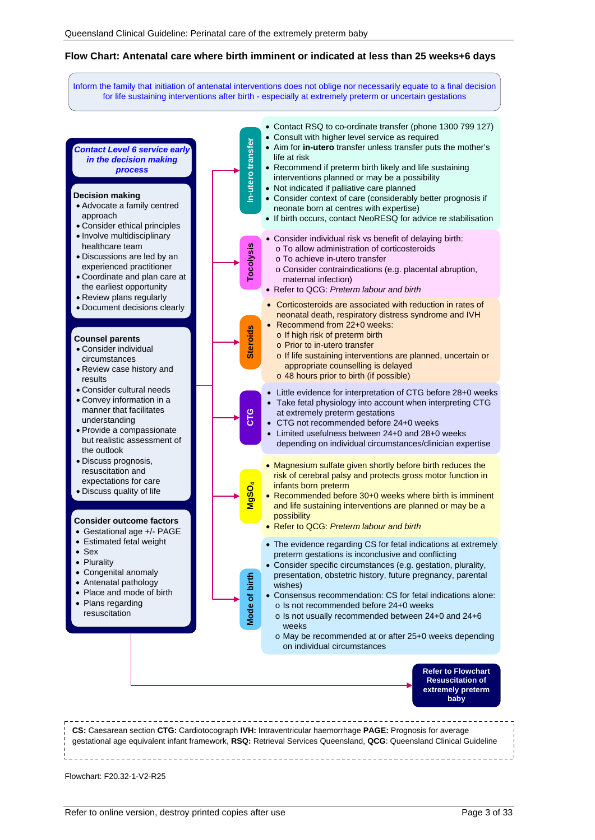#### **Flow Chart: Antenatal care where birth imminent or indicated at less than 25 weeks+6 days**

Inform the family that initiation of antenatal interventions does not oblige nor necessarily equate to a final decision for life sustaining interventions after birth - especially at extremely preterm or uncertain gestations



Flowchart: F20.32-1-V2-R25

nt

results

• Sex • Plurality

approach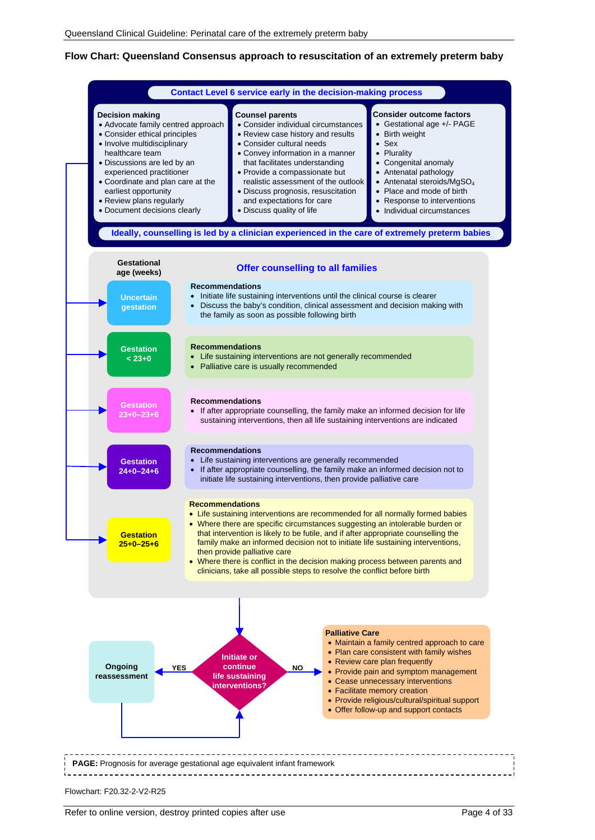#### **Flow Chart: Queensland Consensus approach to resuscitation of an extremely preterm baby**

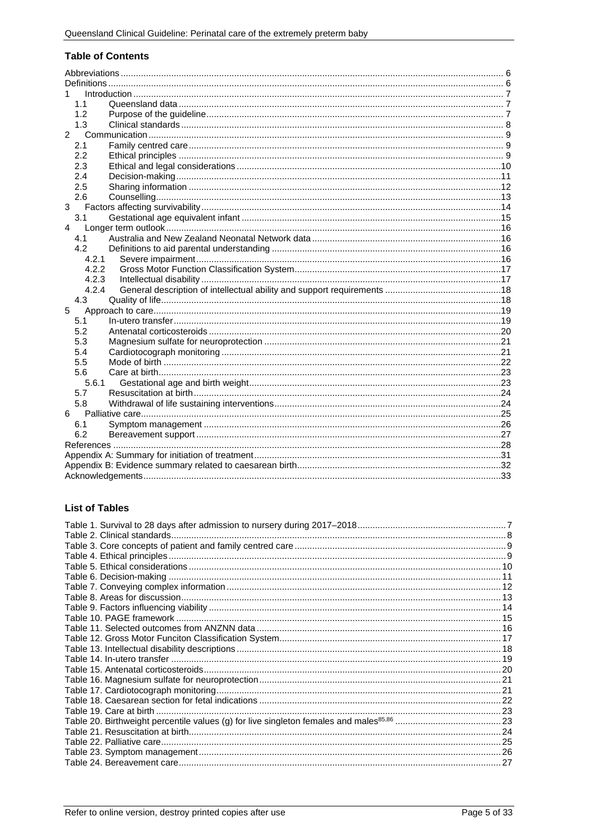#### **Table of Contents**

| 1.1            |  |  |
|----------------|--|--|
| 1.2            |  |  |
| 1.3            |  |  |
| $\overline{2}$ |  |  |
| 2.1            |  |  |
| 2.2            |  |  |
| 2.3            |  |  |
| 2.4            |  |  |
| 2.5            |  |  |
| 2.6            |  |  |
| 3              |  |  |
| 3.1            |  |  |
| 4              |  |  |
| 4.1            |  |  |
| 4.2            |  |  |
| 4.2.1          |  |  |
| 4.2.2          |  |  |
| 4.2.3          |  |  |
| 4.2.4          |  |  |
| 4.3            |  |  |
| 5              |  |  |
| 5.1            |  |  |
| 5.2            |  |  |
| 5.3            |  |  |
| 5.4            |  |  |
| 5.5            |  |  |
| 5.6            |  |  |
| 5.6.1          |  |  |
| 5.7            |  |  |
| 5.8            |  |  |
| 6              |  |  |
| 6.1            |  |  |
| 6.2            |  |  |
|                |  |  |
|                |  |  |
|                |  |  |
|                |  |  |

#### **List of Tables**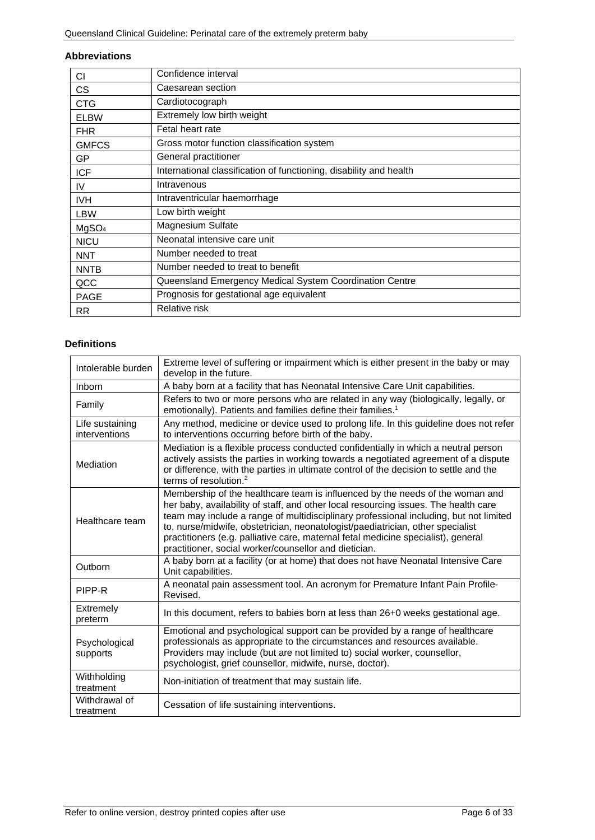#### <span id="page-5-0"></span>**Abbreviations**

| СI                | Confidence interval                                                |
|-------------------|--------------------------------------------------------------------|
| СS                | Caesarean section                                                  |
| <b>CTG</b>        | Cardiotocograph                                                    |
| <b>ELBW</b>       | Extremely low birth weight                                         |
| <b>FHR</b>        | Fetal heart rate                                                   |
| <b>GMFCS</b>      | Gross motor function classification system                         |
| GP                | General practitioner                                               |
| <b>ICF</b>        | International classification of functioning, disability and health |
| IV                | Intravenous                                                        |
| IVH.              | Intraventricular haemorrhage                                       |
| LBW               | Low birth weight                                                   |
| MgSO <sub>4</sub> | <b>Magnesium Sulfate</b>                                           |
| <b>NICU</b>       | Neonatal intensive care unit                                       |
| <b>NNT</b>        | Number needed to treat                                             |
| <b>NNTB</b>       | Number needed to treat to benefit                                  |
| QCC               | Queensland Emergency Medical System Coordination Centre            |
| <b>PAGE</b>       | Prognosis for gestational age equivalent                           |
| RR.               | Relative risk                                                      |

#### <span id="page-5-1"></span>**Definitions**

| Intolerable burden               | Extreme level of suffering or impairment which is either present in the baby or may<br>develop in the future.                                                                                                                                                                                                                                                                                                                                                                                 |
|----------------------------------|-----------------------------------------------------------------------------------------------------------------------------------------------------------------------------------------------------------------------------------------------------------------------------------------------------------------------------------------------------------------------------------------------------------------------------------------------------------------------------------------------|
| Inborn                           | A baby born at a facility that has Neonatal Intensive Care Unit capabilities.                                                                                                                                                                                                                                                                                                                                                                                                                 |
| Family                           | Refers to two or more persons who are related in any way (biologically, legally, or<br>emotionally). Patients and families define their families. <sup>1</sup>                                                                                                                                                                                                                                                                                                                                |
| Life sustaining<br>interventions | Any method, medicine or device used to prolong life. In this guideline does not refer<br>to interventions occurring before birth of the baby.                                                                                                                                                                                                                                                                                                                                                 |
| Mediation                        | Mediation is a flexible process conducted confidentially in which a neutral person<br>actively assists the parties in working towards a negotiated agreement of a dispute<br>or difference, with the parties in ultimate control of the decision to settle and the<br>terms of resolution. <sup>2</sup>                                                                                                                                                                                       |
| Healthcare team                  | Membership of the healthcare team is influenced by the needs of the woman and<br>her baby, availability of staff, and other local resourcing issues. The health care<br>team may include a range of multidisciplinary professional including, but not limited<br>to, nurse/midwife, obstetrician, neonatologist/paediatrician, other specialist<br>practitioners (e.g. palliative care, maternal fetal medicine specialist), general<br>practitioner, social worker/counsellor and dietician. |
| Outborn                          | A baby born at a facility (or at home) that does not have Neonatal Intensive Care<br>Unit capabilities.                                                                                                                                                                                                                                                                                                                                                                                       |
| PIPP-R                           | A neonatal pain assessment tool. An acronym for Premature Infant Pain Profile-<br>Revised.                                                                                                                                                                                                                                                                                                                                                                                                    |
| Extremely<br>preterm             | In this document, refers to babies born at less than 26+0 weeks gestational age.                                                                                                                                                                                                                                                                                                                                                                                                              |
| Psychological<br>supports        | Emotional and psychological support can be provided by a range of healthcare<br>professionals as appropriate to the circumstances and resources available.<br>Providers may include (but are not limited to) social worker, counsellor,<br>psychologist, grief counsellor, midwife, nurse, doctor).                                                                                                                                                                                           |
| Withholding<br>treatment         | Non-initiation of treatment that may sustain life.                                                                                                                                                                                                                                                                                                                                                                                                                                            |
| Withdrawal of<br>treatment       | Cessation of life sustaining interventions.                                                                                                                                                                                                                                                                                                                                                                                                                                                   |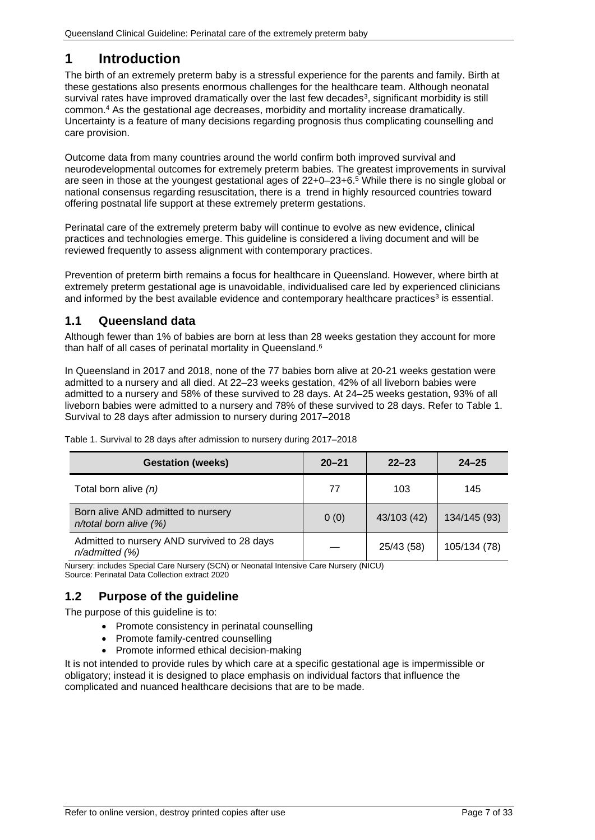### <span id="page-6-0"></span>**1 Introduction**

The birth of an extremely preterm baby is a stressful experience for the parents and family. Birth at these gestations also presents enormous challenges for the healthcare team. Although neonatal survival rates have improved dramatically over the last few decades<sup>3</sup>, significant morbidity is still common.4 As the gestational age decreases, morbidity and mortality increase dramatically. Uncertainty is a feature of many decisions regarding prognosis thus complicating counselling and care provision.

Outcome data from many countries around the world confirm both improved survival and neurodevelopmental outcomes for extremely preterm babies. The greatest improvements in survival are seen in those at the youngest gestational ages of 22+0–23+6.5 While there is no single global or national consensus regarding resuscitation, there is a trend in highly resourced countries toward offering postnatal life support at these extremely preterm gestations.

Perinatal care of the extremely preterm baby will continue to evolve as new evidence, clinical practices and technologies emerge. This guideline is considered a living document and will be reviewed frequently to assess alignment with contemporary practices.

Prevention of preterm birth remains a focus for healthcare in Queensland. However, where birth at extremely preterm gestational age is unavoidable, individualised care led by experienced clinicians and informed by the best available evidence and contemporary healthcare practices<sup>3</sup> is essential.

### <span id="page-6-1"></span>**1.1 Queensland data**

Although fewer than 1% of babies are born at less than 28 weeks gestation they account for more than half of all cases of perinatal mortality in Queensland.<sup>6</sup>

In Queensland in 2017 and 2018, none of the 77 babies born alive at 20-21 weeks gestation were admitted to a nursery and all died. At 22–23 weeks gestation, 42% of all liveborn babies were admitted to a nursery and 58% of these survived to 28 days. At 24–25 weeks gestation, 93% of all liveborn babies were admitted to a nursery and 78% of these survived to 28 days. Refer to [Table 1.](#page-6-3)  [Survival to 28 days after admission to nursery during 2017–2018](#page-6-3)

| <b>Gestation (weeks)</b>                                           | $20 - 21$ | $22 - 23$   | $24 - 25$    |
|--------------------------------------------------------------------|-----------|-------------|--------------|
| Total born alive (n)                                               | 77        | 103         | 145          |
| Born alive AND admitted to nursery<br>$n$ /total born alive $(%)$  | 0(0)      | 43/103 (42) | 134/145 (93) |
| Admitted to nursery AND survived to 28 days<br>$n$ /admitted $(%)$ |           | 25/43 (58)  | 105/134 (78) |

<span id="page-6-3"></span>Table 1. Survival to 28 days after admission to nursery during 2017–2018

Nursery: includes Special Care Nursery (SCN) or Neonatal Intensive Care Nursery (NICU)

<span id="page-6-2"></span>Source: Perinatal Data Collection extract 2020

#### **1.2 Purpose of the guideline**

The purpose of this guideline is to:

- Promote consistency in perinatal counselling
- Promote family-centred counselling
- Promote informed ethical decision-making

It is not intended to provide rules by which care at a specific gestational age is impermissible or obligatory; instead it is designed to place emphasis on individual factors that influence the complicated and nuanced healthcare decisions that are to be made.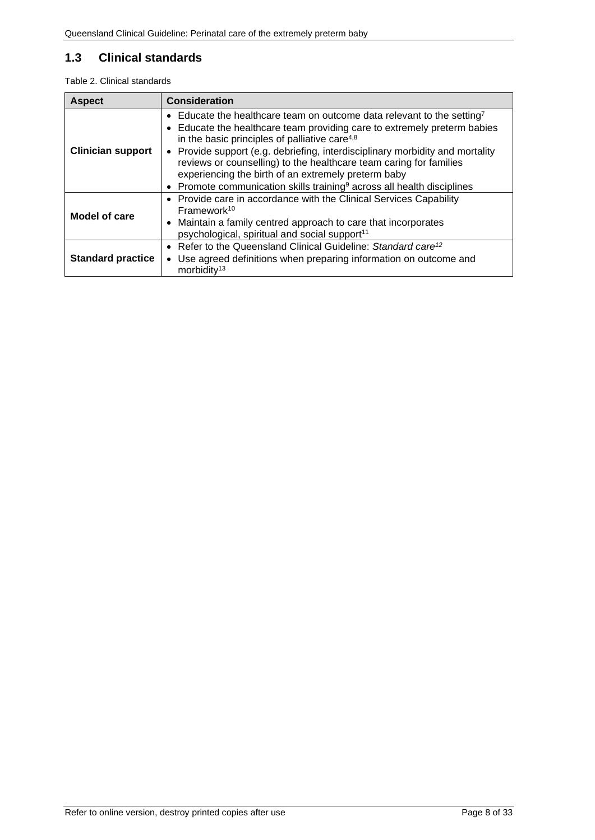### <span id="page-7-0"></span>**1.3 Clinical standards**

<span id="page-7-1"></span>Table 2. Clinical standards

| <b>Aspect</b>            | <b>Consideration</b>                                                                                                                                                                                       |  |
|--------------------------|------------------------------------------------------------------------------------------------------------------------------------------------------------------------------------------------------------|--|
|                          | • Educate the healthcare team on outcome data relevant to the setting <sup>7</sup>                                                                                                                         |  |
| <b>Clinician support</b> | • Educate the healthcare team providing care to extremely preterm babies<br>in the basic principles of palliative care <sup>4,8</sup>                                                                      |  |
|                          | • Provide support (e.g. debriefing, interdisciplinary morbidity and mortality<br>reviews or counselling) to the healthcare team caring for families<br>experiencing the birth of an extremely preterm baby |  |
|                          | Promote communication skills training <sup>9</sup> across all health disciplines<br>$\bullet$                                                                                                              |  |
| Model of care            | • Provide care in accordance with the Clinical Services Capability<br>Framework <sup>10</sup>                                                                                                              |  |
|                          | • Maintain a family centred approach to care that incorporates<br>psychological, spiritual and social support <sup>11</sup>                                                                                |  |
| <b>Standard practice</b> | • Refer to the Queensland Clinical Guideline: Standard care <sup>12</sup>                                                                                                                                  |  |
|                          | Use agreed definitions when preparing information on outcome and<br>$\bullet$<br>morbidity <sup>13</sup>                                                                                                   |  |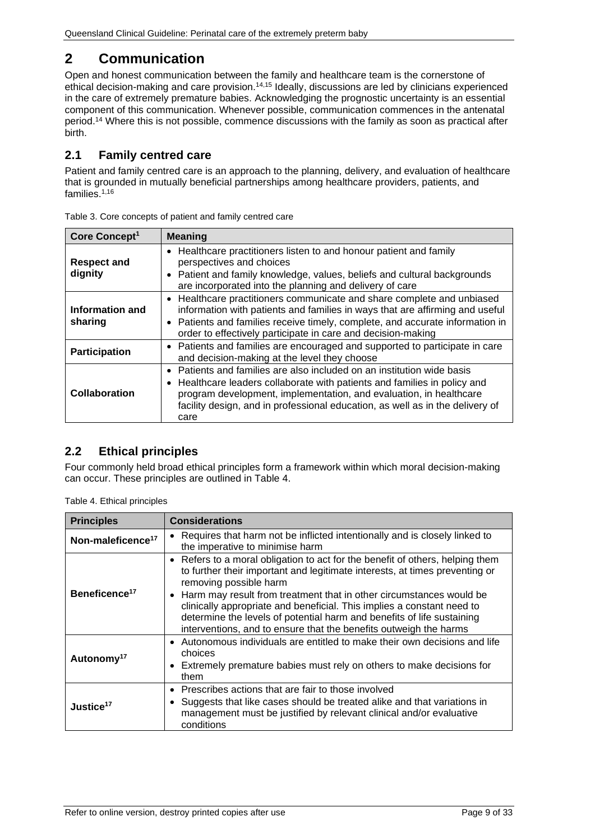### <span id="page-8-0"></span>**2 Communication**

Open and honest communication between the family and healthcare team is the cornerstone of ethical decision-making and care provision.14,15 Ideally, discussions are led by clinicians experienced in the care of extremely premature babies. Acknowledging the prognostic uncertainty is an essential component of this communication. Whenever possible, communication commences in the antenatal period.14 Where this is not possible, commence discussions with the family as soon as practical after birth.

### <span id="page-8-1"></span>**2.1 Family centred care**

Patient and family centred care is an approach to the planning, delivery, and evaluation of healthcare that is grounded in mutually beneficial partnerships among healthcare providers, patients, and families.1,16

| Core Concept <sup>1</sup>     | <b>Meaning</b>                                                                                                                                                                                                                                                                                                              |
|-------------------------------|-----------------------------------------------------------------------------------------------------------------------------------------------------------------------------------------------------------------------------------------------------------------------------------------------------------------------------|
| <b>Respect and</b><br>dignity | Healthcare practitioners listen to and honour patient and family<br>$\bullet$<br>perspectives and choices<br>Patient and family knowledge, values, beliefs and cultural backgrounds<br>are incorporated into the planning and delivery of care                                                                              |
| Information and<br>sharing    | • Healthcare practitioners communicate and share complete and unbiased<br>information with patients and families in ways that are affirming and useful<br>Patients and families receive timely, complete, and accurate information in<br>order to effectively participate in care and decision-making                       |
| Participation                 | • Patients and families are encouraged and supported to participate in care<br>and decision-making at the level they choose                                                                                                                                                                                                 |
| Collaboration                 | Patients and families are also included on an institution wide basis<br>Healthcare leaders collaborate with patients and families in policy and<br>$\bullet$<br>program development, implementation, and evaluation, in healthcare<br>facility design, and in professional education, as well as in the delivery of<br>care |

<span id="page-8-3"></span>

#### <span id="page-8-2"></span>**2.2 Ethical principles**

Four commonly held broad ethical principles form a framework within which moral decision-making can occur. These principles are outlined in [Table 4.](#page-8-4) 

<span id="page-8-4"></span>

|  |  | Table 4. Ethical principles |
|--|--|-----------------------------|
|--|--|-----------------------------|

| <b>Principles</b>             | <b>Considerations</b>                                                                                                                                                                                                                                                                                                                                                                                                                                                                    |  |
|-------------------------------|------------------------------------------------------------------------------------------------------------------------------------------------------------------------------------------------------------------------------------------------------------------------------------------------------------------------------------------------------------------------------------------------------------------------------------------------------------------------------------------|--|
| Non-maleficence <sup>17</sup> | • Requires that harm not be inflicted intentionally and is closely linked to<br>the imperative to minimise harm                                                                                                                                                                                                                                                                                                                                                                          |  |
| Beneficence <sup>17</sup>     | • Refers to a moral obligation to act for the benefit of others, helping them<br>to further their important and legitimate interests, at times preventing or<br>removing possible harm<br>• Harm may result from treatment that in other circumstances would be<br>clinically appropriate and beneficial. This implies a constant need to<br>determine the levels of potential harm and benefits of life sustaining<br>interventions, and to ensure that the benefits outweigh the harms |  |
| Autonomy <sup>17</sup>        | • Autonomous individuals are entitled to make their own decisions and life<br>choices<br>• Extremely premature babies must rely on others to make decisions for<br>them                                                                                                                                                                                                                                                                                                                  |  |
| Justice <sup>17</sup>         | • Prescribes actions that are fair to those involved<br>• Suggests that like cases should be treated alike and that variations in<br>management must be justified by relevant clinical and/or evaluative<br>conditions                                                                                                                                                                                                                                                                   |  |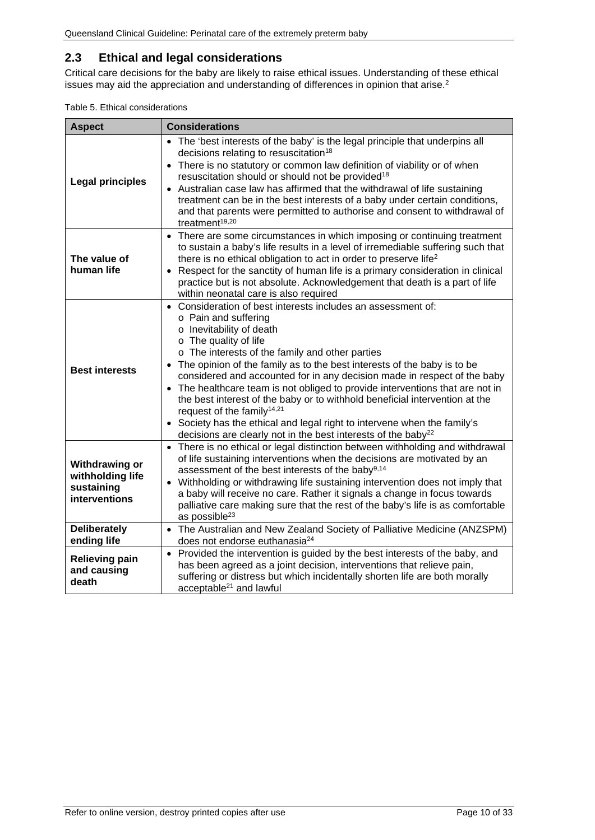### <span id="page-9-0"></span>**2.3 Ethical and legal considerations**

Critical care decisions for the baby are likely to raise ethical issues. Understanding of these ethical issues may aid the appreciation and understanding of differences in opinion that arise.<sup>2</sup>

<span id="page-9-1"></span>

| Table 5. Ethical considerations |  |
|---------------------------------|--|
|---------------------------------|--|

| <b>Aspect</b>                                                            | <b>Considerations</b>                                                                                                                                                                                                                                                                                                                                                                                                                                                                                                                                                                                                                                                                                                        |
|--------------------------------------------------------------------------|------------------------------------------------------------------------------------------------------------------------------------------------------------------------------------------------------------------------------------------------------------------------------------------------------------------------------------------------------------------------------------------------------------------------------------------------------------------------------------------------------------------------------------------------------------------------------------------------------------------------------------------------------------------------------------------------------------------------------|
| <b>Legal principles</b>                                                  | • The 'best interests of the baby' is the legal principle that underpins all<br>decisions relating to resuscitation <sup>18</sup><br>There is no statutory or common law definition of viability or of when<br>$\bullet$<br>resuscitation should or should not be provided <sup>18</sup><br>Australian case law has affirmed that the withdrawal of life sustaining<br>treatment can be in the best interests of a baby under certain conditions,<br>and that parents were permitted to authorise and consent to withdrawal of<br>treatment <sup>19,20</sup>                                                                                                                                                                 |
| The value of<br>human life                                               | • There are some circumstances in which imposing or continuing treatment<br>to sustain a baby's life results in a level of irremediable suffering such that<br>there is no ethical obligation to act in order to preserve life <sup>2</sup><br>• Respect for the sanctity of human life is a primary consideration in clinical<br>practice but is not absolute. Acknowledgement that death is a part of life<br>within neonatal care is also required                                                                                                                                                                                                                                                                        |
| <b>Best interests</b>                                                    | • Consideration of best interests includes an assessment of:<br>o Pain and suffering<br>o Inevitability of death<br>$\circ$ The quality of life<br>o The interests of the family and other parties<br>The opinion of the family as to the best interests of the baby is to be<br>considered and accounted for in any decision made in respect of the baby<br>• The healthcare team is not obliged to provide interventions that are not in<br>the best interest of the baby or to withhold beneficial intervention at the<br>request of the family <sup>14,21</sup><br>• Society has the ethical and legal right to intervene when the family's<br>decisions are clearly not in the best interests of the baby <sup>22</sup> |
| <b>Withdrawing or</b><br>withholding life<br>sustaining<br>interventions | • There is no ethical or legal distinction between withholding and withdrawal<br>of life sustaining interventions when the decisions are motivated by an<br>assessment of the best interests of the baby <sup>9,14</sup><br>Withholding or withdrawing life sustaining intervention does not imply that<br>$\bullet$<br>a baby will receive no care. Rather it signals a change in focus towards<br>palliative care making sure that the rest of the baby's life is as comfortable<br>as possible <sup>23</sup>                                                                                                                                                                                                              |
| <b>Deliberately</b><br>ending life                                       | • The Australian and New Zealand Society of Palliative Medicine (ANZSPM)<br>does not endorse euthanasia <sup>24</sup>                                                                                                                                                                                                                                                                                                                                                                                                                                                                                                                                                                                                        |
| <b>Relieving pain</b><br>and causing<br>death                            | • Provided the intervention is guided by the best interests of the baby, and<br>has been agreed as a joint decision, interventions that relieve pain,<br>suffering or distress but which incidentally shorten life are both morally<br>acceptable <sup>21</sup> and lawful                                                                                                                                                                                                                                                                                                                                                                                                                                                   |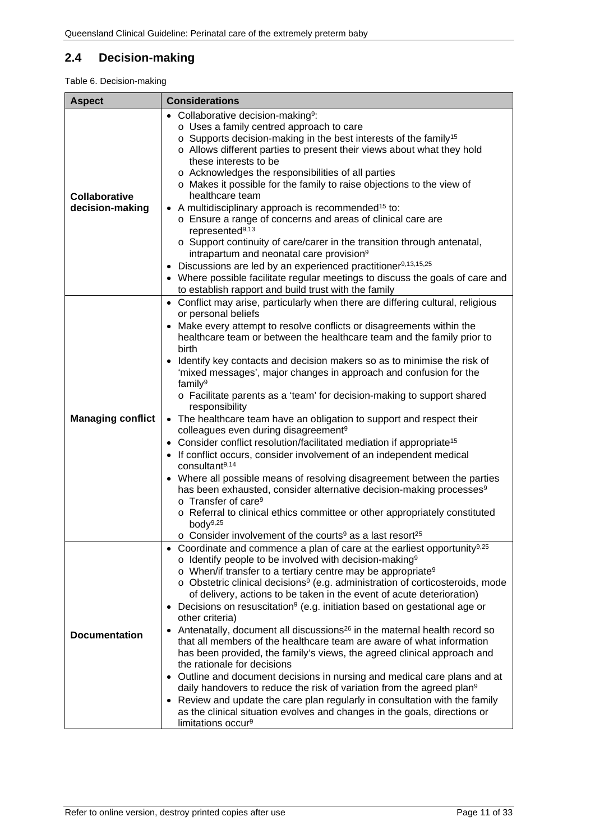### <span id="page-10-0"></span>**2.4 Decision-making**

#### <span id="page-10-1"></span>Table 6. Decision-making

| <b>Aspect</b>                           | <b>Considerations</b>                                                                                                                                                                                                                                                                                                                                                                                                                                                                                                                                                                                                                                                                                                                                                                                                                                                                                                                                                                                                                                                                                                                                                                                                                                  |
|-----------------------------------------|--------------------------------------------------------------------------------------------------------------------------------------------------------------------------------------------------------------------------------------------------------------------------------------------------------------------------------------------------------------------------------------------------------------------------------------------------------------------------------------------------------------------------------------------------------------------------------------------------------------------------------------------------------------------------------------------------------------------------------------------------------------------------------------------------------------------------------------------------------------------------------------------------------------------------------------------------------------------------------------------------------------------------------------------------------------------------------------------------------------------------------------------------------------------------------------------------------------------------------------------------------|
| <b>Collaborative</b><br>decision-making | • Collaborative decision-making <sup>9</sup> :<br>o Uses a family centred approach to care<br>o Supports decision-making in the best interests of the family <sup>15</sup><br>o Allows different parties to present their views about what they hold<br>these interests to be<br>o Acknowledges the responsibilities of all parties<br>o Makes it possible for the family to raise objections to the view of<br>healthcare team<br>• A multidisciplinary approach is recommended <sup>15</sup> to:<br>o Ensure a range of concerns and areas of clinical care are<br>represented <sup>9,13</sup><br>o Support continuity of care/carer in the transition through antenatal,<br>intrapartum and neonatal care provision <sup>9</sup><br>• Discussions are led by an experienced practitioner <sup>9,13,15,25</sup><br>• Where possible facilitate regular meetings to discuss the goals of care and<br>to establish rapport and build trust with the family                                                                                                                                                                                                                                                                                             |
| <b>Managing conflict</b>                | • Conflict may arise, particularly when there are differing cultural, religious<br>or personal beliefs<br>• Make every attempt to resolve conflicts or disagreements within the<br>healthcare team or between the healthcare team and the family prior to<br>birth<br>Identify key contacts and decision makers so as to minimise the risk of<br>'mixed messages', major changes in approach and confusion for the<br>family <sup>9</sup><br>o Facilitate parents as a 'team' for decision-making to support shared<br>responsibility<br>• The healthcare team have an obligation to support and respect their<br>colleagues even during disagreement <sup>9</sup><br>• Consider conflict resolution/facilitated mediation if appropriate <sup>15</sup><br>• If conflict occurs, consider involvement of an independent medical<br>consultant <sup>9,14</sup><br>• Where all possible means of resolving disagreement between the parties<br>has been exhausted, consider alternative decision-making processes <sup>9</sup><br>o Transfer of care <sup>9</sup><br>o Referral to clinical ethics committee or other appropriately constituted<br>body $9,25$<br>$\circ$ Consider involvement of the courts <sup>9</sup> as a last resort <sup>25</sup> |
| <b>Documentation</b>                    | • Coordinate and commence a plan of care at the earliest opportunity <sup>9,25</sup><br>$\circ$ Identify people to be involved with decision-making <sup>9</sup><br>o When/if transfer to a tertiary centre may be appropriate <sup>9</sup><br>$\circ$ Obstetric clinical decisions <sup>9</sup> (e.g. administration of corticosteroids, mode<br>of delivery, actions to be taken in the event of acute deterioration)<br>• Decisions on resuscitation <sup>9</sup> (e.g. initiation based on gestational age or<br>other criteria)<br>Antenatally, document all discussions <sup>26</sup> in the maternal health record so<br>that all members of the healthcare team are aware of what information<br>has been provided, the family's views, the agreed clinical approach and<br>the rationale for decisions<br>• Outline and document decisions in nursing and medical care plans and at<br>daily handovers to reduce the risk of variation from the agreed plan <sup>9</sup><br>• Review and update the care plan regularly in consultation with the family<br>as the clinical situation evolves and changes in the goals, directions or<br>limitations occur <sup>9</sup>                                                                        |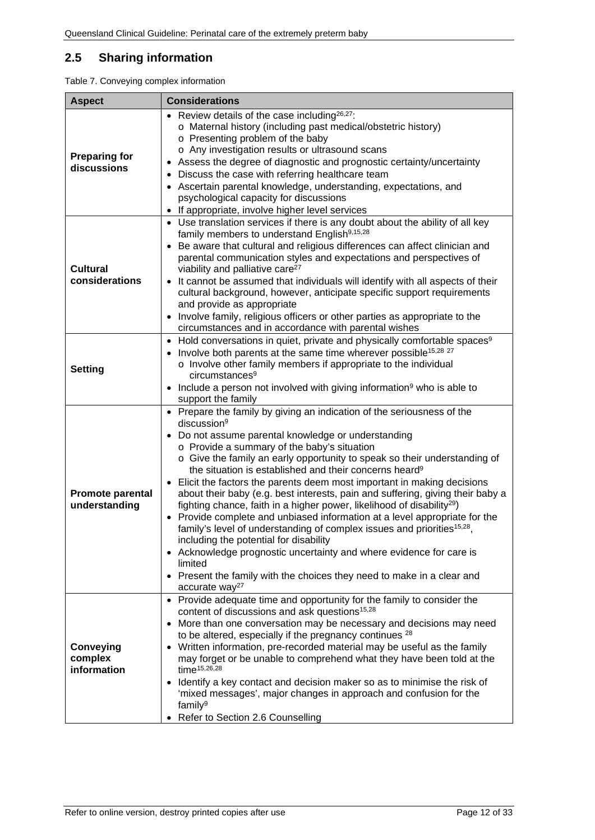### <span id="page-11-0"></span>**2.5 Sharing information**

<span id="page-11-1"></span>

| <b>Aspect</b>                            | <b>Considerations</b>                                                                                                                                                                                                                                                                                                                                                                                                                                                                                                                                                                                                                                                                                                                                                                                                                                                                                                                                                                                                             |
|------------------------------------------|-----------------------------------------------------------------------------------------------------------------------------------------------------------------------------------------------------------------------------------------------------------------------------------------------------------------------------------------------------------------------------------------------------------------------------------------------------------------------------------------------------------------------------------------------------------------------------------------------------------------------------------------------------------------------------------------------------------------------------------------------------------------------------------------------------------------------------------------------------------------------------------------------------------------------------------------------------------------------------------------------------------------------------------|
| <b>Preparing for</b><br>discussions      | • Review details of the case including $26,27$ :<br>o Maternal history (including past medical/obstetric history)<br>o Presenting problem of the baby<br>o Any investigation results or ultrasound scans<br>Assess the degree of diagnostic and prognostic certainty/uncertainty<br>Discuss the case with referring healthcare team<br>Ascertain parental knowledge, understanding, expectations, and<br>psychological capacity for discussions<br>If appropriate, involve higher level services<br>$\bullet$                                                                                                                                                                                                                                                                                                                                                                                                                                                                                                                     |
| <b>Cultural</b><br>considerations        | Use translation services if there is any doubt about the ability of all key<br>$\bullet$<br>family members to understand English <sup>9,15,28</sup><br>Be aware that cultural and religious differences can affect clinician and<br>$\bullet$<br>parental communication styles and expectations and perspectives of<br>viability and palliative care <sup>27</sup><br>It cannot be assumed that individuals will identify with all aspects of their<br>$\bullet$<br>cultural background, however, anticipate specific support requirements<br>and provide as appropriate<br>Involve family, religious officers or other parties as appropriate to the<br>circumstances and in accordance with parental wishes                                                                                                                                                                                                                                                                                                                     |
| <b>Setting</b>                           | Hold conversations in quiet, private and physically comfortable spaces <sup>9</sup><br>$\bullet$<br>Involve both parents at the same time wherever possible <sup>15,28</sup> <sup>27</sup><br>o Involve other family members if appropriate to the individual<br>circumstances <sup>9</sup><br>Include a person not involved with giving information $9$ who is able to<br>support the family                                                                                                                                                                                                                                                                                                                                                                                                                                                                                                                                                                                                                                     |
| <b>Promote parental</b><br>understanding | • Prepare the family by giving an indication of the seriousness of the<br>discussion <sup>9</sup><br>Do not assume parental knowledge or understanding<br>o Provide a summary of the baby's situation<br>o Give the family an early opportunity to speak so their understanding of<br>the situation is established and their concerns heard <sup>9</sup><br>Elicit the factors the parents deem most important in making decisions<br>$\bullet$<br>about their baby (e.g. best interests, pain and suffering, giving their baby a<br>fighting chance, faith in a higher power, likelihood of disability <sup>29</sup> )<br>Provide complete and unbiased information at a level appropriate for the<br>family's level of understanding of complex issues and priorities <sup>15,28</sup> ,<br>including the potential for disability<br>• Acknowledge prognostic uncertainty and where evidence for care is<br>limited<br>Present the family with the choices they need to make in a clear and<br>٠<br>accurate way <sup>27</sup> |
| Conveying<br>complex<br>information      | • Provide adequate time and opportunity for the family to consider the<br>content of discussions and ask questions <sup>15,28</sup><br>More than one conversation may be necessary and decisions may need<br>$\bullet$<br>to be altered, especially if the pregnancy continues <sup>28</sup><br>Written information, pre-recorded material may be useful as the family<br>may forget or be unable to comprehend what they have been told at the<br>time <sup>15,26,28</sup><br>Identify a key contact and decision maker so as to minimise the risk of<br>$\bullet$<br>'mixed messages', major changes in approach and confusion for the<br>family <sup>9</sup><br>Refer to Section 2.6 Counselling                                                                                                                                                                                                                                                                                                                               |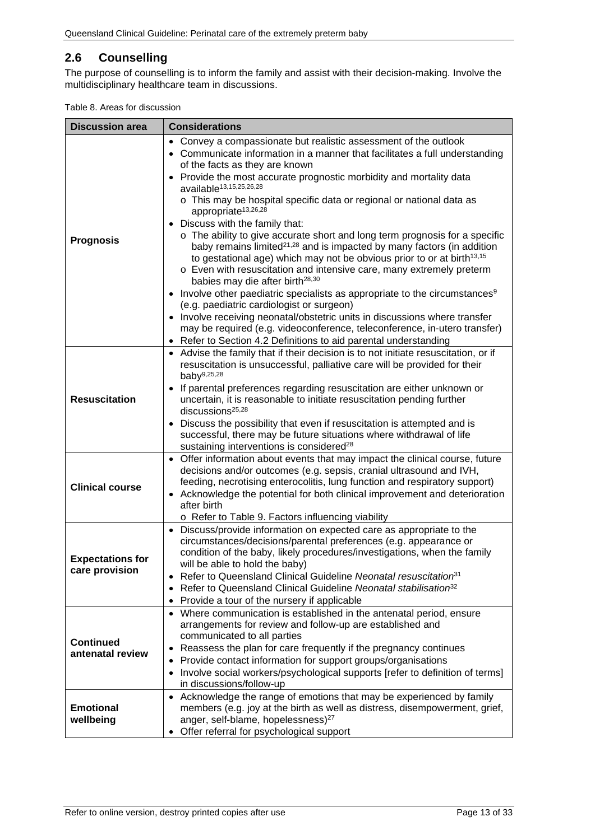#### <span id="page-12-0"></span>**2.6 Counselling**

The purpose of counselling is to inform the family and assist with their decision-making. Involve the multidisciplinary healthcare team in discussions.

<span id="page-12-1"></span>

|  |  |  |  | Table 8. Areas for discussion |
|--|--|--|--|-------------------------------|
|--|--|--|--|-------------------------------|

| <b>Discussion area</b>                                                | <b>Considerations</b>                                                                                                                                                                                                                                                                                                                                                                                                                                                                                                                                                                                                                                                                                                                                                                                                                                                                                                                                                                                                                                                                                                                                                                              |
|-----------------------------------------------------------------------|----------------------------------------------------------------------------------------------------------------------------------------------------------------------------------------------------------------------------------------------------------------------------------------------------------------------------------------------------------------------------------------------------------------------------------------------------------------------------------------------------------------------------------------------------------------------------------------------------------------------------------------------------------------------------------------------------------------------------------------------------------------------------------------------------------------------------------------------------------------------------------------------------------------------------------------------------------------------------------------------------------------------------------------------------------------------------------------------------------------------------------------------------------------------------------------------------|
| <b>Prognosis</b>                                                      | • Convey a compassionate but realistic assessment of the outlook<br>• Communicate information in a manner that facilitates a full understanding<br>of the facts as they are known<br>• Provide the most accurate prognostic morbidity and mortality data<br>available <sup>13,15,25,26,28</sup><br>o This may be hospital specific data or regional or national data as<br>appropriate <sup>13,26,28</sup><br>• Discuss with the family that:<br>o The ability to give accurate short and long term prognosis for a specific<br>baby remains limited <sup>21,28</sup> and is impacted by many factors (in addition<br>to gestational age) which may not be obvious prior to or at birth <sup>13,15</sup><br>o Even with resuscitation and intensive care, many extremely preterm<br>babies may die after birth <sup>28,30</sup><br>• Involve other paediatric specialists as appropriate to the circumstances <sup>9</sup><br>(e.g. paediatric cardiologist or surgeon)<br>Involve receiving neonatal/obstetric units in discussions where transfer<br>may be required (e.g. videoconference, teleconference, in-utero transfer)<br>Refer to Section 4.2 Definitions to aid parental understanding |
| <b>Resuscitation</b>                                                  | • Advise the family that if their decision is to not initiate resuscitation, or if<br>resuscitation is unsuccessful, palliative care will be provided for their<br>baby $9,25,28$<br>If parental preferences regarding resuscitation are either unknown or<br>uncertain, it is reasonable to initiate resuscitation pending further<br>discussions <sup>25,28</sup><br>• Discuss the possibility that even if resuscitation is attempted and is<br>successful, there may be future situations where withdrawal of life<br>sustaining interventions is considered <sup>28</sup>                                                                                                                                                                                                                                                                                                                                                                                                                                                                                                                                                                                                                     |
| <b>Clinical course</b>                                                | • Offer information about events that may impact the clinical course, future<br>decisions and/or outcomes (e.g. sepsis, cranial ultrasound and IVH,<br>feeding, necrotising enterocolitis, lung function and respiratory support)<br>• Acknowledge the potential for both clinical improvement and deterioration<br>after birth<br>o Refer to Table 9. Factors influencing viability                                                                                                                                                                                                                                                                                                                                                                                                                                                                                                                                                                                                                                                                                                                                                                                                               |
| <b>Expectations for</b><br>care provision                             | • Discuss/provide information on expected care as appropriate to the<br>circumstances/decisions/parental preferences (e.g. appearance or<br>condition of the baby, likely procedures/investigations, when the family<br>will be able to hold the baby)<br>Refer to Queensland Clinical Guideline Neonatal resuscitation <sup>31</sup><br>Refer to Queensland Clinical Guideline Neonatal stabilisation <sup>32</sup><br>$\bullet$<br>Provide a tour of the nursery if applicable                                                                                                                                                                                                                                                                                                                                                                                                                                                                                                                                                                                                                                                                                                                   |
| <b>Continued</b><br>antenatal review<br><b>Emotional</b><br>wellbeing | • Where communication is established in the antenatal period, ensure<br>arrangements for review and follow-up are established and<br>communicated to all parties<br>Reassess the plan for care frequently if the pregnancy continues<br>Provide contact information for support groups/organisations<br>Involve social workers/psychological supports [refer to definition of terms]<br>$\bullet$<br>in discussions/follow-up<br>• Acknowledge the range of emotions that may be experienced by family<br>members (e.g. joy at the birth as well as distress, disempowerment, grief,<br>anger, self-blame, hopelessness) <sup>27</sup><br>Offer referral for psychological support<br>$\bullet$                                                                                                                                                                                                                                                                                                                                                                                                                                                                                                    |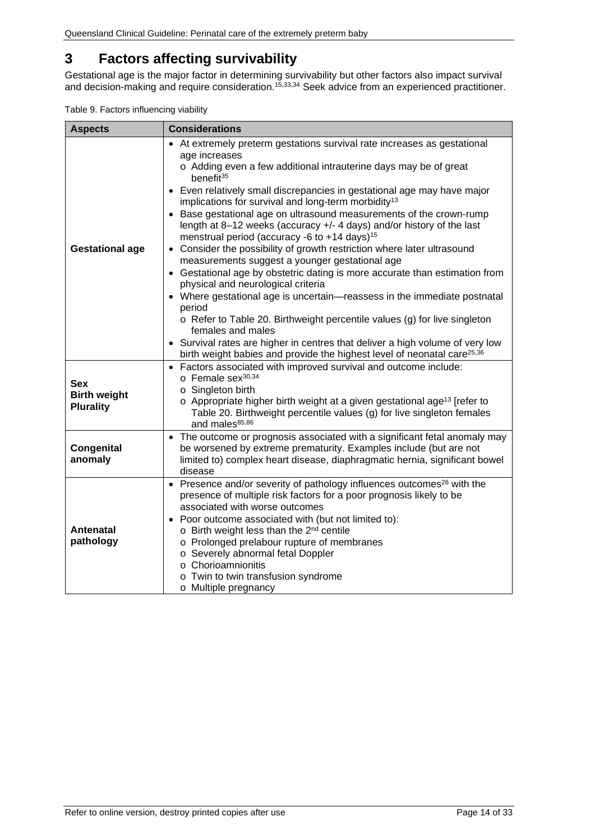### <span id="page-13-0"></span>**3 Factors affecting survivability**

Gestational age is the major factor in determining survivability but other factors also impact survival and decision-making and require consideration.<sup>15,33,34</sup> Seek advice from an experienced practitioner.

<span id="page-13-1"></span>Table 9. Factors influencing viability

| <b>Aspects</b>                                        | <b>Considerations</b>                                                                                                                                                                                                                                                                                                                                                                                                                                                                                                                                                                                                                                                                                                                                                                                                                                                                                                                                                                                                                                                                                                                                                      |
|-------------------------------------------------------|----------------------------------------------------------------------------------------------------------------------------------------------------------------------------------------------------------------------------------------------------------------------------------------------------------------------------------------------------------------------------------------------------------------------------------------------------------------------------------------------------------------------------------------------------------------------------------------------------------------------------------------------------------------------------------------------------------------------------------------------------------------------------------------------------------------------------------------------------------------------------------------------------------------------------------------------------------------------------------------------------------------------------------------------------------------------------------------------------------------------------------------------------------------------------|
| <b>Gestational age</b>                                | • At extremely preterm gestations survival rate increases as gestational<br>age increases<br>o Adding even a few additional intrauterine days may be of great<br>benefit <sup>35</sup><br>• Even relatively small discrepancies in gestational age may have major<br>implications for survival and long-term morbidity <sup>13</sup><br>• Base gestational age on ultrasound measurements of the crown-rump<br>length at 8-12 weeks (accuracy +/- 4 days) and/or history of the last<br>menstrual period (accuracy -6 to $+14$ days) <sup>15</sup><br>• Consider the possibility of growth restriction where later ultrasound<br>measurements suggest a younger gestational age<br>• Gestational age by obstetric dating is more accurate than estimation from<br>physical and neurological criteria<br>• Where gestational age is uncertain-reassess in the immediate postnatal<br>period<br>$\circ$ Refer to Table 20. Birthweight percentile values (g) for live singleton<br>females and males<br>• Survival rates are higher in centres that deliver a high volume of very low<br>birth weight babies and provide the highest level of neonatal care <sup>25,36</sup> |
| <b>Sex</b><br><b>Birth weight</b><br><b>Plurality</b> | • Factors associated with improved survival and outcome include:<br>o Female sex <sup>30,34</sup><br>o Singleton birth<br>$\circ$ Appropriate higher birth weight at a given gestational age <sup>13</sup> [refer to<br>Table 20. Birthweight percentile values (g) for live singleton females<br>and males <sup>85,86</sup>                                                                                                                                                                                                                                                                                                                                                                                                                                                                                                                                                                                                                                                                                                                                                                                                                                               |
| Congenital<br>anomaly                                 | • The outcome or prognosis associated with a significant fetal anomaly may<br>be worsened by extreme prematurity. Examples include (but are not<br>limited to) complex heart disease, diaphragmatic hernia, significant bowel<br>disease                                                                                                                                                                                                                                                                                                                                                                                                                                                                                                                                                                                                                                                                                                                                                                                                                                                                                                                                   |
| <b>Antenatal</b><br>pathology                         | • Presence and/or severity of pathology influences outcomes <sup>26</sup> with the<br>presence of multiple risk factors for a poor prognosis likely to be<br>associated with worse outcomes<br>• Poor outcome associated with (but not limited to):<br>o Birth weight less than the 2 <sup>nd</sup> centile<br>o Prolonged prelabour rupture of membranes<br>o Severely abnormal fetal Doppler<br>o Chorioamnionitis<br>o Twin to twin transfusion syndrome<br>o Multiple pregnancy                                                                                                                                                                                                                                                                                                                                                                                                                                                                                                                                                                                                                                                                                        |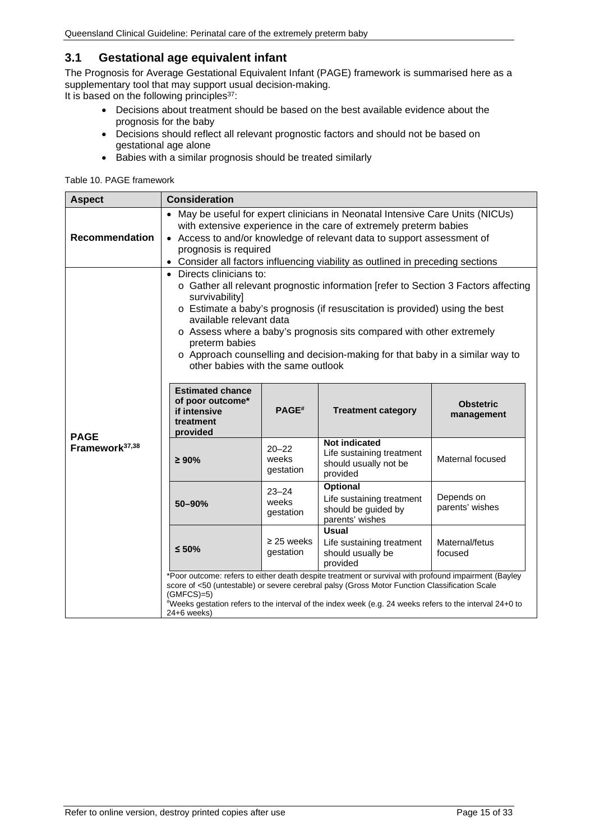#### <span id="page-14-0"></span>**3.1 Gestational age equivalent infant**

The Prognosis for Average Gestational Equivalent Infant (PAGE) framework is summarised here as a supplementary tool that may support usual decision-making.

It is based on the following principles<sup>37</sup>:

- Decisions about treatment should be based on the best available evidence about the prognosis for the baby
- Decisions should reflect all relevant prognostic factors and should not be based on gestational age alone
- Babies with a similar prognosis should be treated similarly

#### <span id="page-14-1"></span>Table 10. PAGE framework

| <b>Aspect</b>              | <b>Consideration</b>                                                                                                                                                                                                                                                                                                                                                                                                                                                  |                                 |                                                                                        |                                |  |  |
|----------------------------|-----------------------------------------------------------------------------------------------------------------------------------------------------------------------------------------------------------------------------------------------------------------------------------------------------------------------------------------------------------------------------------------------------------------------------------------------------------------------|---------------------------------|----------------------------------------------------------------------------------------|--------------------------------|--|--|
| <b>Recommendation</b>      | • May be useful for expert clinicians in Neonatal Intensive Care Units (NICUs)<br>with extensive experience in the care of extremely preterm babies<br>Access to and/or knowledge of relevant data to support assessment of<br>$\bullet$<br>prognosis is required<br>• Consider all factors influencing viability as outlined in preceding sections                                                                                                                   |                                 |                                                                                        |                                |  |  |
|                            | Directs clinicians to:<br>$\bullet$<br>○ Gather all relevant prognostic information [refer to Section 3 Factors affecting<br>survivability]<br>o Estimate a baby's prognosis (if resuscitation is provided) using the best<br>available relevant data<br>o Assess where a baby's prognosis sits compared with other extremely<br>preterm babies<br>o Approach counselling and decision-making for that baby in a similar way to<br>other babies with the same outlook |                                 |                                                                                        |                                |  |  |
| <b>PAGE</b>                | <b>Estimated chance</b><br>of poor outcome*<br>if intensive<br>treatment<br>provided                                                                                                                                                                                                                                                                                                                                                                                  | PAGE <sup>#</sup>               | <b>Treatment category</b>                                                              | <b>Obstetric</b><br>management |  |  |
| Framework <sup>37,38</sup> | $\geq 90\%$                                                                                                                                                                                                                                                                                                                                                                                                                                                           | $20 - 22$<br>weeks<br>gestation | <b>Not indicated</b><br>Life sustaining treatment<br>should usually not be<br>provided | Maternal focused               |  |  |
|                            | 50-90%                                                                                                                                                                                                                                                                                                                                                                                                                                                                | $23 - 24$<br>weeks<br>gestation | Optional<br>Life sustaining treatment<br>should be guided by<br>parents' wishes        | Depends on<br>parents' wishes  |  |  |
|                            | <b>Usual</b><br>$\geq$ 25 weeks<br>Maternal/fetus<br>Life sustaining treatment<br>$≤ 50%$<br>gestation<br>should usually be<br>focused<br>provided                                                                                                                                                                                                                                                                                                                    |                                 |                                                                                        |                                |  |  |
|                            | *Poor outcome: refers to either death despite treatment or survival with profound impairment (Bayley<br>score of <50 (untestable) or severe cerebral palsy (Gross Motor Function Classification Scale<br>$(GMFCS)=5)$<br>*Weeks gestation refers to the interval of the index week (e.g. 24 weeks refers to the interval 24+0 to<br>$24+6$ weeks)                                                                                                                     |                                 |                                                                                        |                                |  |  |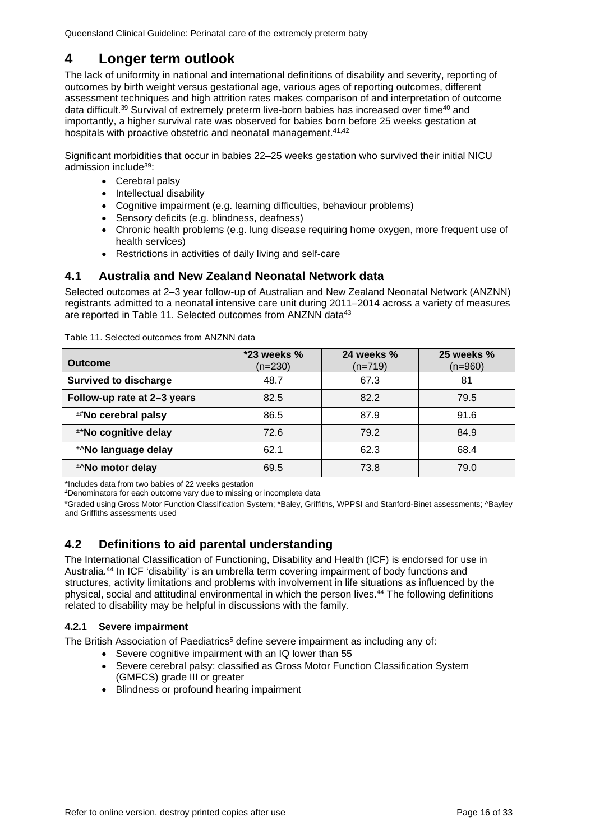### <span id="page-15-0"></span>**4 Longer term outlook**

The lack of uniformity in national and international definitions of disability and severity, reporting of outcomes by birth weight versus gestational age, various ages of reporting outcomes, different assessment techniques and high attrition rates makes comparison of and interpretation of outcome data difficult.<sup>39</sup> Survival of extremely preterm live-born babies has increased over time<sup>40</sup> and importantly, a higher survival rate was observed for babies born before 25 weeks gestation at hospitals with proactive obstetric and neonatal management.<sup>41,42</sup>

Significant morbidities that occur in babies 22–25 weeks gestation who survived their initial NICU admission include39:

- Cerebral palsy
- Intellectual disability
- Cognitive impairment (e.g. learning difficulties, behaviour problems)
- Sensory deficits (e.g. blindness, deafness)
- Chronic health problems (e.g. lung disease requiring home oxygen, more frequent use of health services)
- Restrictions in activities of daily living and self-care

#### <span id="page-15-1"></span>**4.1 Australia and New Zealand Neonatal Network data**

Selected outcomes at 2–3 year follow-up of Australian and New Zealand Neonatal Network (ANZNN) registrants admitted to a neonatal intensive care unit during 2011–2014 across a variety of measures are reported in Table 11. Selected outcomes from ANZNN data<sup>43</sup>

| <b>Outcome</b>               | $*23$ weeks $%$<br>$(n=230)$ | 24 weeks %<br>$(n=719)$ | 25 weeks $%$<br>$(n=960)$ |
|------------------------------|------------------------------|-------------------------|---------------------------|
| <b>Survived to discharge</b> | 48.7                         | 67.3                    | 81                        |
| Follow-up rate at 2-3 years  | 82.5                         | 82.2                    | 79.5                      |
| <b>**No cerebral palsy</b>   | 86.5                         | 87.9                    | 91.6                      |
| **No cognitive delay         | 72.6                         | 79.2                    | 84.9                      |
| *No language delay           | 62.1                         | 62.3                    | 68.4                      |
| *No motor delay              | 69.5                         | 73.8                    | 79.0                      |
|                              |                              |                         |                           |

<span id="page-15-4"></span>Table 11. Selected outcomes from ANZNN data

\*Includes data from two babies of 22 weeks gestation

**±** Denominators for each outcome vary due to missing or incomplete data

# Graded using Gross Motor Function Classification System; \*Baley, Griffiths, WPPSI and Stanford-Binet assessments; ^Bayley and Griffiths assessments used

#### <span id="page-15-2"></span>**4.2 Definitions to aid parental understanding**

The International Classification of Functioning, Disability and Health (ICF) is endorsed for use in Australia.44 In ICF 'disability' is an umbrella term covering impairment of body functions and structures, activity limitations and problems with involvement in life situations as influenced by the physical, social and attitudinal environmental in which the person lives.44 The following definitions related to disability may be helpful in discussions with the family.

#### <span id="page-15-3"></span>**4.2.1 Severe impairment**

The British Association of Paediatrics<sup>5</sup> define severe impairment as including any of:

- Severe cognitive impairment with an IQ lower than 55
- Severe cerebral palsy: classified as Gross Motor Function Classification System (GMFCS) grade III or greater
- Blindness or profound hearing impairment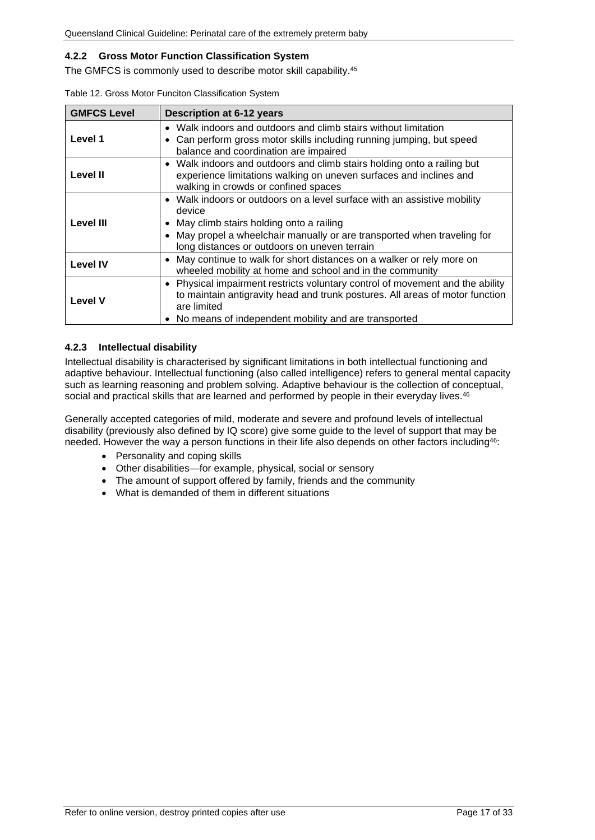#### <span id="page-16-0"></span>**4.2.2 Gross Motor Function Classification System**

The GMFCS is commonly used to describe motor skill capability.45

| <b>GMFCS Level</b> | <b>Description at 6-12 years</b>                                                                                                                                                                                                                            |
|--------------------|-------------------------------------------------------------------------------------------------------------------------------------------------------------------------------------------------------------------------------------------------------------|
| Level 1            | • Walk indoors and outdoors and climb stairs without limitation<br>Can perform gross motor skills including running jumping, but speed<br>balance and coordination are impaired                                                                             |
| <b>Level II</b>    | • Walk indoors and outdoors and climb stairs holding onto a railing but<br>experience limitations walking on uneven surfaces and inclines and<br>walking in crowds or confined spaces                                                                       |
| Level III          | • Walk indoors or outdoors on a level surface with an assistive mobility<br>device<br>• May climb stairs holding onto a railing<br>• May propel a wheelchair manually or are transported when traveling for<br>long distances or outdoors on uneven terrain |
| <b>Level IV</b>    | • May continue to walk for short distances on a walker or rely more on<br>wheeled mobility at home and school and in the community                                                                                                                          |
| <b>Level V</b>     | • Physical impairment restricts voluntary control of movement and the ability<br>to maintain antigravity head and trunk postures. All areas of motor function<br>are limited<br>• No means of independent mobility and are transported                      |

<span id="page-16-2"></span>

| Table 12. Gross Motor Funciton Classification System |  |  |  |  |  |
|------------------------------------------------------|--|--|--|--|--|
|------------------------------------------------------|--|--|--|--|--|

#### <span id="page-16-1"></span>**4.2.3 Intellectual disability**

Intellectual disability is characterised by significant limitations in both intellectual functioning and adaptive behaviour. Intellectual functioning (also called intelligence) refers to general mental capacity such as learning reasoning and problem solving. Adaptive behaviour is the collection of conceptual, social and practical skills that are learned and performed by people in their everyday lives.<sup>46</sup>

Generally accepted categories of mild, moderate and severe and profound levels of intellectual disability (previously also defined by IQ score) give some guide to the level of support that may be needed. However the way a person functions in their life also depends on other factors including<sup>46</sup>:

- Personality and coping skills
- Other disabilities—for example, physical, social or sensory
- The amount of support offered by family, friends and the community
- What is demanded of them in different situations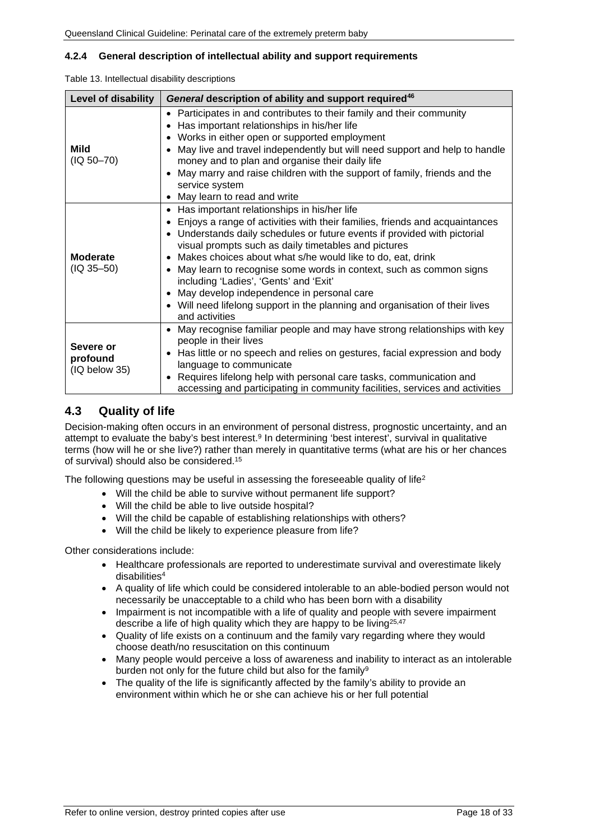#### <span id="page-17-0"></span>**4.2.4 General description of intellectual ability and support requirements**

<span id="page-17-2"></span>

| Table 13. Intellectual disability descriptions |  |
|------------------------------------------------|--|
|------------------------------------------------|--|

| <b>Level of disability</b>             | General description of ability and support required <sup>46</sup>                                                                                                                                                                                                                                                                                                                                                                                                                                                                                                                                          |  |  |  |  |
|----------------------------------------|------------------------------------------------------------------------------------------------------------------------------------------------------------------------------------------------------------------------------------------------------------------------------------------------------------------------------------------------------------------------------------------------------------------------------------------------------------------------------------------------------------------------------------------------------------------------------------------------------------|--|--|--|--|
| Mild<br>$(IQ 50-70)$                   | Participates in and contributes to their family and their community<br>$\bullet$<br>Has important relationships in his/her life<br>Works in either open or supported employment<br>May live and travel independently but will need support and help to handle<br>money and to plan and organise their daily life<br>May marry and raise children with the support of family, friends and the<br>service system<br>May learn to read and write<br>٠                                                                                                                                                         |  |  |  |  |
| <b>Moderate</b><br>$(IQ 35 - 50)$      | Has important relationships in his/her life<br>٠<br>Enjoys a range of activities with their families, friends and acquaintances<br>Understands daily schedules or future events if provided with pictorial<br>$\bullet$<br>visual prompts such as daily timetables and pictures<br>Makes choices about what s/he would like to do, eat, drink<br>May learn to recognise some words in context, such as common signs<br>including 'Ladies', 'Gents' and 'Exit'<br>May develop independence in personal care<br>Will need lifelong support in the planning and organisation of their lives<br>and activities |  |  |  |  |
| Severe or<br>profound<br>(IQ below 35) | May recognise familiar people and may have strong relationships with key<br>people in their lives<br>Has little or no speech and relies on gestures, facial expression and body<br>language to communicate<br>Requires lifelong help with personal care tasks, communication and<br>accessing and participating in community facilities, services and activities                                                                                                                                                                                                                                           |  |  |  |  |

#### <span id="page-17-1"></span>**4.3 Quality of life**

Decision-making often occurs in an environment of personal distress, prognostic uncertainty, and an attempt to evaluate the baby's best interest.9 In determining 'best interest', survival in qualitative terms (how will he or she live?) rather than merely in quantitative terms (what are his or her chances of survival) should also be considered.15

The following questions may be useful in assessing the foreseeable quality of life<sup>2</sup>

- Will the child be able to survive without permanent life support?
- Will the child be able to live outside hospital?
- Will the child be capable of establishing relationships with others?
- Will the child be likely to experience pleasure from life?

Other considerations include:

- Healthcare professionals are reported to underestimate survival and overestimate likely disabilities<sup>4</sup>
- A quality of life which could be considered intolerable to an able-bodied person would not necessarily be unacceptable to a child who has been born with a disability
- Impairment is not incompatible with a life of quality and people with severe impairment describe a life of high quality which they are happy to be living $25,47$
- Quality of life exists on a continuum and the family vary regarding where they would choose death/no resuscitation on this continuum
- Many people would perceive a loss of awareness and inability to interact as an intolerable burden not only for the future child but also for the family<sup>9</sup>
- The quality of the life is significantly affected by the family's ability to provide an environment within which he or she can achieve his or her full potential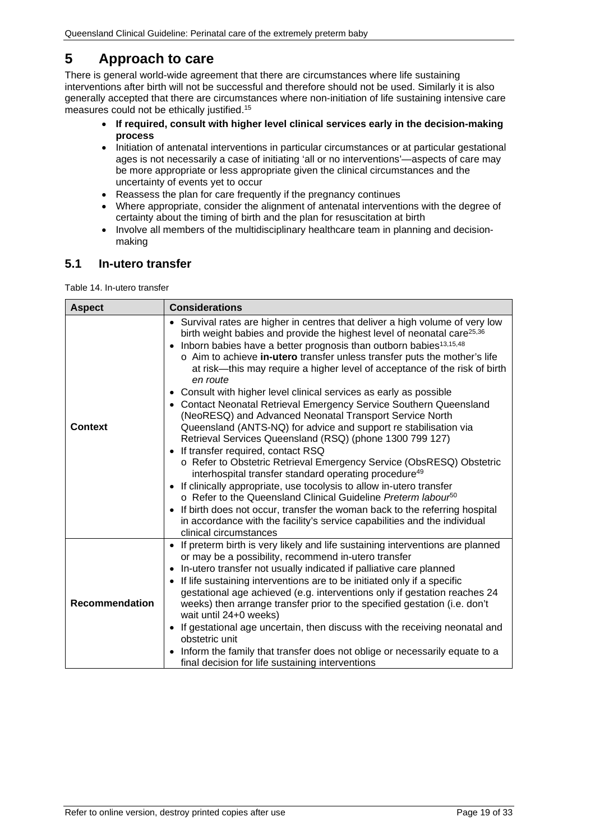### <span id="page-18-0"></span>**5 Approach to care**

There is general world-wide agreement that there are circumstances where life sustaining interventions after birth will not be successful and therefore should not be used. Similarly it is also generally accepted that there are circumstances where non-initiation of life sustaining intensive care measures could not be ethically justified.15

- **If required, consult with higher level clinical services early in the decision-making process**
- Initiation of antenatal interventions in particular circumstances or at particular gestational ages is not necessarily a case of initiating 'all or no interventions'—aspects of care may be more appropriate or less appropriate given the clinical circumstances and the uncertainty of events yet to occur
- Reassess the plan for care frequently if the pregnancy continues
- Where appropriate, consider the alignment of antenatal interventions with the degree of certainty about the timing of birth and the plan for resuscitation at birth
- Involve all members of the multidisciplinary healthcare team in planning and decisionmaking

#### <span id="page-18-1"></span>**5.1 In-utero transfer**

<span id="page-18-2"></span>Table 14. In-utero transfer

| <b>Aspect</b>  | <b>Considerations</b>                                                                                                                                                                                                                                                                                                                                                                                                                                                                                                                                                                                                                                                                                                                                                                                                                                                                                                                                                                                                                                                                                                                                                                           |
|----------------|-------------------------------------------------------------------------------------------------------------------------------------------------------------------------------------------------------------------------------------------------------------------------------------------------------------------------------------------------------------------------------------------------------------------------------------------------------------------------------------------------------------------------------------------------------------------------------------------------------------------------------------------------------------------------------------------------------------------------------------------------------------------------------------------------------------------------------------------------------------------------------------------------------------------------------------------------------------------------------------------------------------------------------------------------------------------------------------------------------------------------------------------------------------------------------------------------|
| <b>Context</b> | • Survival rates are higher in centres that deliver a high volume of very low<br>birth weight babies and provide the highest level of neonatal care <sup>25,36</sup><br>• Inborn babies have a better prognosis than outborn babies <sup>13,15,48</sup><br>o Aim to achieve in-utero transfer unless transfer puts the mother's life<br>at risk—this may require a higher level of acceptance of the risk of birth<br>en route<br>• Consult with higher level clinical services as early as possible<br>• Contact Neonatal Retrieval Emergency Service Southern Queensland<br>(NeoRESQ) and Advanced Neonatal Transport Service North<br>Queensland (ANTS-NQ) for advice and support re stabilisation via<br>Retrieval Services Queensland (RSQ) (phone 1300 799 127)<br>• If transfer required, contact RSQ<br>o Refer to Obstetric Retrieval Emergency Service (ObsRESQ) Obstetric<br>interhospital transfer standard operating procedure <sup>49</sup><br>• If clinically appropriate, use tocolysis to allow in-utero transfer<br>o Refer to the Queensland Clinical Guideline Preterm labour <sup>50</sup><br>• If birth does not occur, transfer the woman back to the referring hospital |
|                | in accordance with the facility's service capabilities and the individual<br>clinical circumstances                                                                                                                                                                                                                                                                                                                                                                                                                                                                                                                                                                                                                                                                                                                                                                                                                                                                                                                                                                                                                                                                                             |
| Recommendation | • If preterm birth is very likely and life sustaining interventions are planned<br>or may be a possibility, recommend in-utero transfer<br>• In-utero transfer not usually indicated if palliative care planned<br>• If life sustaining interventions are to be initiated only if a specific<br>gestational age achieved (e.g. interventions only if gestation reaches 24<br>weeks) then arrange transfer prior to the specified gestation (i.e. don't<br>wait until 24+0 weeks)<br>• If gestational age uncertain, then discuss with the receiving neonatal and<br>obstetric unit<br>• Inform the family that transfer does not oblige or necessarily equate to a<br>final decision for life sustaining interventions                                                                                                                                                                                                                                                                                                                                                                                                                                                                          |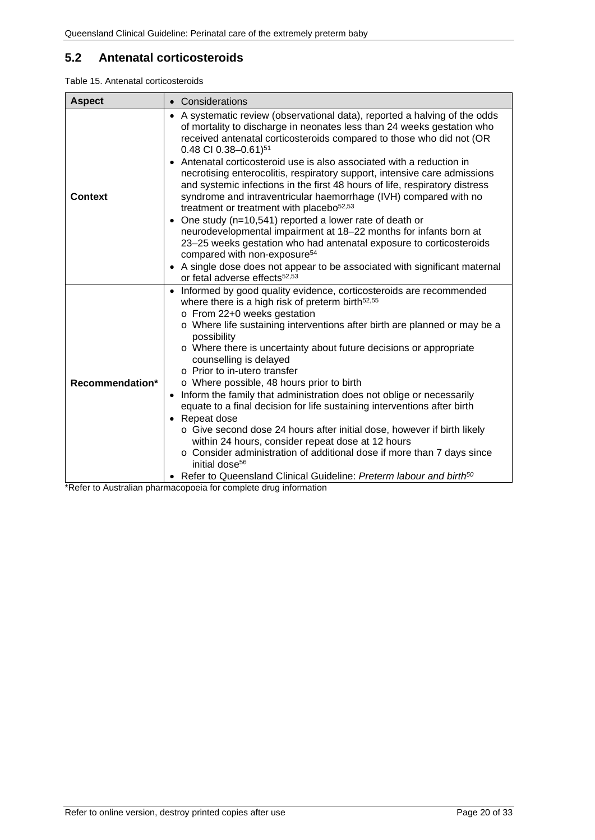### <span id="page-19-0"></span>**5.2 Antenatal corticosteroids**

<span id="page-19-1"></span>

|  |  | Table 15. Antenatal corticosteroids |
|--|--|-------------------------------------|
|--|--|-------------------------------------|

| <b>Aspect</b>   | • Considerations                                                                                                                                                                                                                                                                                                                                                                                                                                                                                                                                                                                                                                                                                                                                                                                                                                                                                                                                                                                        |
|-----------------|---------------------------------------------------------------------------------------------------------------------------------------------------------------------------------------------------------------------------------------------------------------------------------------------------------------------------------------------------------------------------------------------------------------------------------------------------------------------------------------------------------------------------------------------------------------------------------------------------------------------------------------------------------------------------------------------------------------------------------------------------------------------------------------------------------------------------------------------------------------------------------------------------------------------------------------------------------------------------------------------------------|
| <b>Context</b>  | • A systematic review (observational data), reported a halving of the odds<br>of mortality to discharge in neonates less than 24 weeks gestation who<br>received antenatal corticosteroids compared to those who did not (OR<br>0.48 CI 0.38-0.61) $51$<br>• Antenatal corticosteroid use is also associated with a reduction in<br>necrotising enterocolitis, respiratory support, intensive care admissions<br>and systemic infections in the first 48 hours of life, respiratory distress<br>syndrome and intraventricular haemorrhage (IVH) compared with no<br>treatment or treatment with placebo <sup>52,53</sup><br>• One study (n=10,541) reported a lower rate of death or<br>neurodevelopmental impairment at 18-22 months for infants born at<br>23-25 weeks gestation who had antenatal exposure to corticosteroids<br>compared with non-exposure <sup>54</sup><br>• A single dose does not appear to be associated with significant maternal<br>or fetal adverse effects <sup>52,53</sup> |
| Recommendation* | • Informed by good quality evidence, corticosteroids are recommended<br>where there is a high risk of preterm birth <sup>52,55</sup><br>o From 22+0 weeks gestation<br>o Where life sustaining interventions after birth are planned or may be a<br>possibility<br>o Where there is uncertainty about future decisions or appropriate<br>counselling is delayed<br>o Prior to in-utero transfer<br>o Where possible, 48 hours prior to birth<br>• Inform the family that administration does not oblige or necessarily<br>equate to a final decision for life sustaining interventions after birth<br>• Repeat dose<br>o Give second dose 24 hours after initial dose, however if birth likely<br>within 24 hours, consider repeat dose at 12 hours<br>o Consider administration of additional dose if more than 7 days since<br>initial dose <sup>56</sup><br>• Refer to Queensland Clinical Guideline: Preterm labour and birth <sup>50</sup>                                                         |

\*Refer to Australian pharmacopoeia for complete drug information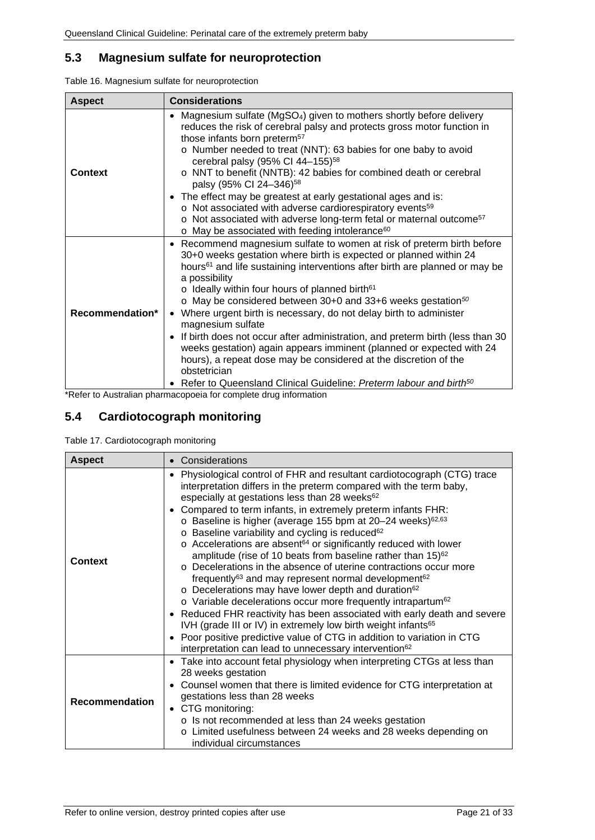### <span id="page-20-0"></span>**5.3 Magnesium sulfate for neuroprotection**

<span id="page-20-2"></span>

| <b>Aspect</b>   | <b>Considerations</b>                                                                                                                                                                                                                                                                                                                                                                                                                                                                                                                                                                                                                                                                                                                                                                                                                          |  |  |  |  |  |
|-----------------|------------------------------------------------------------------------------------------------------------------------------------------------------------------------------------------------------------------------------------------------------------------------------------------------------------------------------------------------------------------------------------------------------------------------------------------------------------------------------------------------------------------------------------------------------------------------------------------------------------------------------------------------------------------------------------------------------------------------------------------------------------------------------------------------------------------------------------------------|--|--|--|--|--|
| <b>Context</b>  | • Magnesium sulfate (MgSO <sub>4</sub> ) given to mothers shortly before delivery<br>reduces the risk of cerebral palsy and protects gross motor function in<br>those infants born preterm <sup>57</sup><br>o Number needed to treat (NNT): 63 babies for one baby to avoid<br>cerebral palsy (95% CI 44-155) <sup>58</sup><br>o NNT to benefit (NNTB): 42 babies for combined death or cerebral<br>palsy (95% CI 24-346) <sup>58</sup><br>• The effect may be greatest at early gestational ages and is:<br>o Not associated with adverse cardiorespiratory events <sup>59</sup>                                                                                                                                                                                                                                                              |  |  |  |  |  |
|                 | o Not associated with adverse long-term fetal or maternal outcome <sup>57</sup><br>o May be associated with feeding intolerance <sup>60</sup>                                                                                                                                                                                                                                                                                                                                                                                                                                                                                                                                                                                                                                                                                                  |  |  |  |  |  |
| Recommendation* | • Recommend magnesium sulfate to women at risk of preterm birth before<br>30+0 weeks gestation where birth is expected or planned within 24<br>hours <sup>61</sup> and life sustaining interventions after birth are planned or may be<br>a possibility<br>o Ideally within four hours of planned birth <sup>61</sup><br>$\circ$ May be considered between 30+0 and 33+6 weeks gestation <sup>50</sup><br>Where urgent birth is necessary, do not delay birth to administer<br>$\bullet$<br>magnesium sulfate<br>• If birth does not occur after administration, and preterm birth (less than 30<br>weeks gestation) again appears imminent (planned or expected with 24<br>hours), a repeat dose may be considered at the discretion of the<br>obstetrician<br>Refer to Queensland Clinical Guideline: Preterm labour and birth <sup>50</sup> |  |  |  |  |  |

\*Refer to Australian pharmacopoeia for complete drug information

### <span id="page-20-1"></span>**5.4 Cardiotocograph monitoring**

<span id="page-20-3"></span>

| <b>Aspect</b>         | • Considerations                                                                                                                                                                                                                                                                                                                                                                                                                                                                                                                                                                                                                                                                                                                                                                                                                                                                                                                                                                                                                                                                                                                                                                                      |  |  |  |  |  |
|-----------------------|-------------------------------------------------------------------------------------------------------------------------------------------------------------------------------------------------------------------------------------------------------------------------------------------------------------------------------------------------------------------------------------------------------------------------------------------------------------------------------------------------------------------------------------------------------------------------------------------------------------------------------------------------------------------------------------------------------------------------------------------------------------------------------------------------------------------------------------------------------------------------------------------------------------------------------------------------------------------------------------------------------------------------------------------------------------------------------------------------------------------------------------------------------------------------------------------------------|--|--|--|--|--|
| Context               | Physiological control of FHR and resultant cardiotocograph (CTG) trace<br>٠<br>interpretation differs in the preterm compared with the term baby,<br>especially at gestations less than 28 weeks <sup>62</sup><br>• Compared to term infants, in extremely preterm infants FHR:<br>o Baseline is higher (average 155 bpm at 20-24 weeks) <sup>62,63</sup><br>o Baseline variability and cycling is reduced <sup>62</sup><br>$\circ$ Accelerations are absent <sup>64</sup> or significantly reduced with lower<br>amplitude (rise of 10 beats from baseline rather than 15) <sup>62</sup><br>o Decelerations in the absence of uterine contractions occur more<br>frequently <sup>63</sup> and may represent normal development <sup>62</sup><br>o Decelerations may have lower depth and duration <sup>62</sup><br>o Variable decelerations occur more frequently intrapartum <sup>62</sup><br>• Reduced FHR reactivity has been associated with early death and severe<br>IVH (grade III or IV) in extremely low birth weight infants <sup>65</sup><br>• Poor positive predictive value of CTG in addition to variation in CTG<br>interpretation can lead to unnecessary intervention <sup>62</sup> |  |  |  |  |  |
| <b>Recommendation</b> | • Take into account fetal physiology when interpreting CTGs at less than<br>28 weeks gestation<br>• Counsel women that there is limited evidence for CTG interpretation at<br>gestations less than 28 weeks<br>• CTG monitoring:<br>o Is not recommended at less than 24 weeks gestation<br>o Limited usefulness between 24 weeks and 28 weeks depending on<br>individual circumstances                                                                                                                                                                                                                                                                                                                                                                                                                                                                                                                                                                                                                                                                                                                                                                                                               |  |  |  |  |  |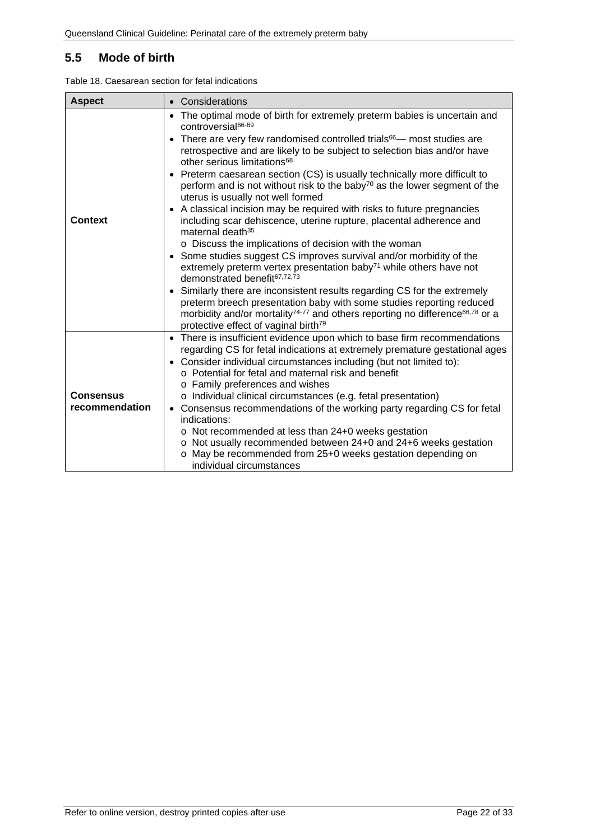### <span id="page-21-0"></span>**5.5 Mode of birth**

<span id="page-21-1"></span>

| Table 18. Caesarean section for fetal indications |  |  |  |  |  |
|---------------------------------------------------|--|--|--|--|--|
|---------------------------------------------------|--|--|--|--|--|

| • Considerations                                                                                                                                                                                                                                                                                            |  |  |  |  |  |
|-------------------------------------------------------------------------------------------------------------------------------------------------------------------------------------------------------------------------------------------------------------------------------------------------------------|--|--|--|--|--|
| • The optimal mode of birth for extremely preterm babies is uncertain and<br>controversial <sup>66-69</sup>                                                                                                                                                                                                 |  |  |  |  |  |
| There are very few randomised controlled trials <sup>66</sup> — most studies are<br>retrospective and are likely to be subject to selection bias and/or have<br>other serious limitations <sup>68</sup>                                                                                                     |  |  |  |  |  |
| • Preterm caesarean section (CS) is usually technically more difficult to<br>perform and is not without risk to the baby <sup>70</sup> as the lower segment of the<br>uterus is usually not well formed                                                                                                     |  |  |  |  |  |
| A classical incision may be required with risks to future pregnancies<br>including scar dehiscence, uterine rupture, placental adherence and<br>maternal death <sup>35</sup>                                                                                                                                |  |  |  |  |  |
| o Discuss the implications of decision with the woman                                                                                                                                                                                                                                                       |  |  |  |  |  |
| • Some studies suggest CS improves survival and/or morbidity of the                                                                                                                                                                                                                                         |  |  |  |  |  |
| extremely preterm vertex presentation baby <sup>71</sup> while others have not<br>demonstrated benefit <sup>67,72,73</sup>                                                                                                                                                                                  |  |  |  |  |  |
| Similarly there are inconsistent results regarding CS for the extremely<br>preterm breech presentation baby with some studies reporting reduced<br>morbidity and/or mortality <sup>74-77</sup> and others reporting no difference <sup>66,78</sup> or a<br>protective effect of vaginal birth <sup>79</sup> |  |  |  |  |  |
| • There is insufficient evidence upon which to base firm recommendations                                                                                                                                                                                                                                    |  |  |  |  |  |
| regarding CS for fetal indications at extremely premature gestational ages<br>• Consider individual circumstances including (but not limited to):                                                                                                                                                           |  |  |  |  |  |
| o Potential for fetal and maternal risk and benefit                                                                                                                                                                                                                                                         |  |  |  |  |  |
| o Family preferences and wishes                                                                                                                                                                                                                                                                             |  |  |  |  |  |
| o Individual clinical circumstances (e.g. fetal presentation)                                                                                                                                                                                                                                               |  |  |  |  |  |
| • Consensus recommendations of the working party regarding CS for fetal<br>indications:                                                                                                                                                                                                                     |  |  |  |  |  |
| o Not recommended at less than 24+0 weeks gestation                                                                                                                                                                                                                                                         |  |  |  |  |  |
| o Not usually recommended between 24+0 and 24+6 weeks gestation                                                                                                                                                                                                                                             |  |  |  |  |  |
| o May be recommended from 25+0 weeks gestation depending on<br>individual circumstances                                                                                                                                                                                                                     |  |  |  |  |  |
|                                                                                                                                                                                                                                                                                                             |  |  |  |  |  |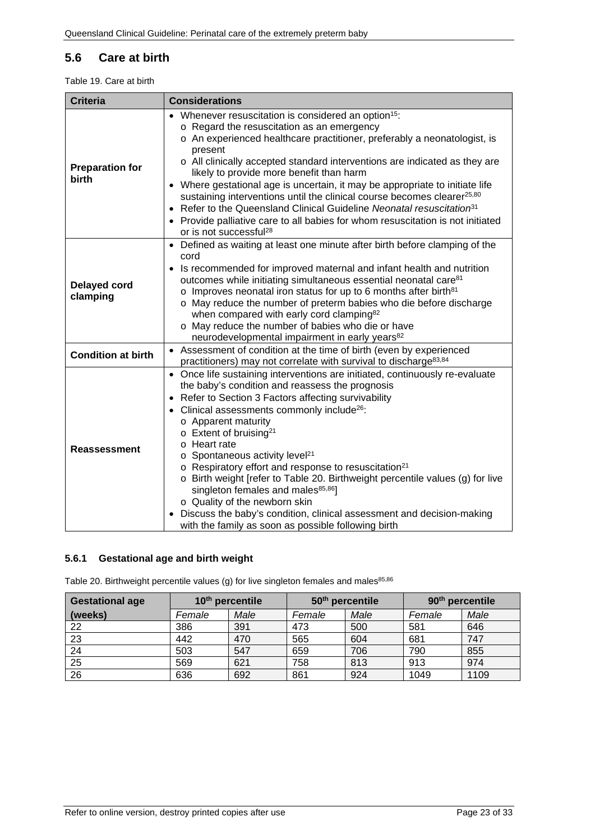### <span id="page-22-0"></span>**5.6 Care at birth**

<span id="page-22-2"></span>Table 19. Care at birth

| <b>Criteria</b>                 | <b>Considerations</b>                                                                                                                                                                                                                                                                                                                                                                                                                                                                                                                                                                                                                                                                                                                                                        |  |  |  |  |  |
|---------------------------------|------------------------------------------------------------------------------------------------------------------------------------------------------------------------------------------------------------------------------------------------------------------------------------------------------------------------------------------------------------------------------------------------------------------------------------------------------------------------------------------------------------------------------------------------------------------------------------------------------------------------------------------------------------------------------------------------------------------------------------------------------------------------------|--|--|--|--|--|
| <b>Preparation for</b><br>birth | • Whenever resuscitation is considered an option <sup>15</sup> :<br>o Regard the resuscitation as an emergency<br>o An experienced healthcare practitioner, preferably a neonatologist, is<br>present<br>o All clinically accepted standard interventions are indicated as they are<br>likely to provide more benefit than harm<br>• Where gestational age is uncertain, it may be appropriate to initiate life<br>sustaining interventions until the clinical course becomes clearer <sup>25,80</sup><br>Refer to the Queensland Clinical Guideline Neonatal resuscitation <sup>31</sup><br>• Provide palliative care to all babies for whom resuscitation is not initiated<br>or is not successful <sup>28</sup>                                                           |  |  |  |  |  |
| <b>Delayed cord</b><br>clamping | Defined as waiting at least one minute after birth before clamping of the<br>$\bullet$<br>cord<br>Is recommended for improved maternal and infant health and nutrition<br>$\bullet$<br>outcomes while initiating simultaneous essential neonatal care <sup>81</sup><br>$\circ$ Improves neonatal iron status for up to 6 months after birth <sup>81</sup><br>o May reduce the number of preterm babies who die before discharge<br>when compared with early cord clamping <sup>82</sup><br>o May reduce the number of babies who die or have<br>neurodevelopmental impairment in early years <sup>82</sup>                                                                                                                                                                   |  |  |  |  |  |
| <b>Condition at birth</b>       | • Assessment of condition at the time of birth (even by experienced<br>practitioners) may not correlate with survival to discharge <sup>83,84</sup>                                                                                                                                                                                                                                                                                                                                                                                                                                                                                                                                                                                                                          |  |  |  |  |  |
| <b>Reassessment</b>             | • Once life sustaining interventions are initiated, continuously re-evaluate<br>the baby's condition and reassess the prognosis<br>Refer to Section 3 Factors affecting survivability<br>$\bullet$<br>• Clinical assessments commonly include <sup>26</sup> :<br>o Apparent maturity<br>$\circ$ Extent of bruising <sup>21</sup><br>o Heart rate<br>$\circ$ Spontaneous activity level <sup>21</sup><br>o Respiratory effort and response to resuscitation <sup>21</sup><br>o Birth weight [refer to Table 20. Birthweight percentile values (g) for live<br>singleton females and males <sup>85,86</sup> ]<br>o Quality of the newborn skin<br>Discuss the baby's condition, clinical assessment and decision-making<br>with the family as soon as possible following birth |  |  |  |  |  |

#### <span id="page-22-1"></span>**5.6.1 Gestational age and birth weight**

<span id="page-22-3"></span>Table 20. Birthweight percentile values (g) for live singleton females and males $85,86$ 

| <b>Gestational age</b> | 10 <sup>th</sup> percentile |      | 50 <sup>th</sup> percentile |      | 90 <sup>th</sup> percentile |      |
|------------------------|-----------------------------|------|-----------------------------|------|-----------------------------|------|
| (weeks)                | Female                      | Male | Female                      | Male | Female                      | Male |
| 22                     | 386                         | 391  | 473                         | 500  | 581                         | 646  |
| 23                     | 442                         | 470  | 565                         | 604  | 681                         | 747  |
| 24                     | 503                         | 547  | 659                         | 706  | 790                         | 855  |
| 25                     | 569                         | 621  | 758                         | 813  | 913                         | 974  |
| 26                     | 636                         | 692  | 861                         | 924  | 1049                        | 1109 |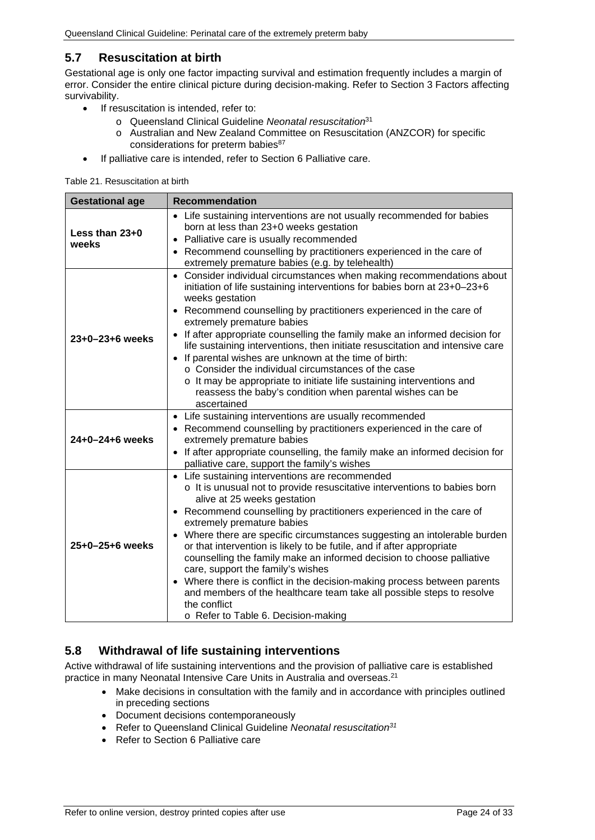#### <span id="page-23-0"></span>**5.7 Resuscitation at birth**

Gestational age is only one factor impacting survival and estimation frequently includes a margin of error. Consider the entire clinical picture during decision-making. Refer to Section [3](#page-13-0) [Factors affecting](#page-13-0)  [survivability.](#page-13-0)

- If resuscitation is intended, refer to:
	- o Queensland Clinical Guideline *Neonatal resuscitation*<sup>31</sup>
	- o Australian and New Zealand Committee on Resuscitation (ANZCOR) for specific considerations for preterm babies<sup>87</sup>
- If palliative care is intended, refer to Section [6](#page-24-0) [Palliative care.](#page-24-0)

#### <span id="page-23-2"></span>Table 21. Resuscitation at birth

| <b>Gestational age</b> | <b>Recommendation</b>                                                                                                                                                                                                                                                                                                                                                                                                                                                                                                                                                                                                                                                                                                                                                                            |  |  |
|------------------------|--------------------------------------------------------------------------------------------------------------------------------------------------------------------------------------------------------------------------------------------------------------------------------------------------------------------------------------------------------------------------------------------------------------------------------------------------------------------------------------------------------------------------------------------------------------------------------------------------------------------------------------------------------------------------------------------------------------------------------------------------------------------------------------------------|--|--|
| Less than 23+0         | • Life sustaining interventions are not usually recommended for babies<br>born at less than 23+0 weeks gestation                                                                                                                                                                                                                                                                                                                                                                                                                                                                                                                                                                                                                                                                                 |  |  |
| weeks                  | • Palliative care is usually recommended                                                                                                                                                                                                                                                                                                                                                                                                                                                                                                                                                                                                                                                                                                                                                         |  |  |
|                        | Recommend counselling by practitioners experienced in the care of<br>extremely premature babies (e.g. by telehealth)                                                                                                                                                                                                                                                                                                                                                                                                                                                                                                                                                                                                                                                                             |  |  |
| $23+0-23+6$ weeks      | Consider individual circumstances when making recommendations about<br>$\bullet$<br>initiation of life sustaining interventions for babies born at 23+0-23+6<br>weeks gestation<br>• Recommend counselling by practitioners experienced in the care of<br>extremely premature babies<br>• If after appropriate counselling the family make an informed decision for<br>life sustaining interventions, then initiate resuscitation and intensive care<br>• If parental wishes are unknown at the time of birth:<br>○ Consider the individual circumstances of the case<br>o It may be appropriate to initiate life sustaining interventions and<br>reassess the baby's condition when parental wishes can be<br>ascertained                                                                       |  |  |
| 24+0-24+6 weeks        | • Life sustaining interventions are usually recommended<br>• Recommend counselling by practitioners experienced in the care of<br>extremely premature babies<br>If after appropriate counselling, the family make an informed decision for<br>$\bullet$                                                                                                                                                                                                                                                                                                                                                                                                                                                                                                                                          |  |  |
| 25+0-25+6 weeks        | palliative care, support the family's wishes<br>• Life sustaining interventions are recommended<br>o It is unusual not to provide resuscitative interventions to babies born<br>alive at 25 weeks gestation<br>• Recommend counselling by practitioners experienced in the care of<br>extremely premature babies<br>• Where there are specific circumstances suggesting an intolerable burden<br>or that intervention is likely to be futile, and if after appropriate<br>counselling the family make an informed decision to choose palliative<br>care, support the family's wishes<br>• Where there is conflict in the decision-making process between parents<br>and members of the healthcare team take all possible steps to resolve<br>the conflict<br>o Refer to Table 6. Decision-making |  |  |

#### <span id="page-23-1"></span>**5.8 Withdrawal of life sustaining interventions**

Active withdrawal of life sustaining interventions and the provision of palliative care is established practice in many Neonatal Intensive Care Units in Australia and overseas.21

- Make decisions in consultation with the family and in accordance with principles outlined in preceding sections
- Document decisions contemporaneously
- Refer to Queensland Clinical Guideline *Neonatal resuscitation31*
- Refer to Section [6](#page-24-0) [Palliative care](#page-24-0)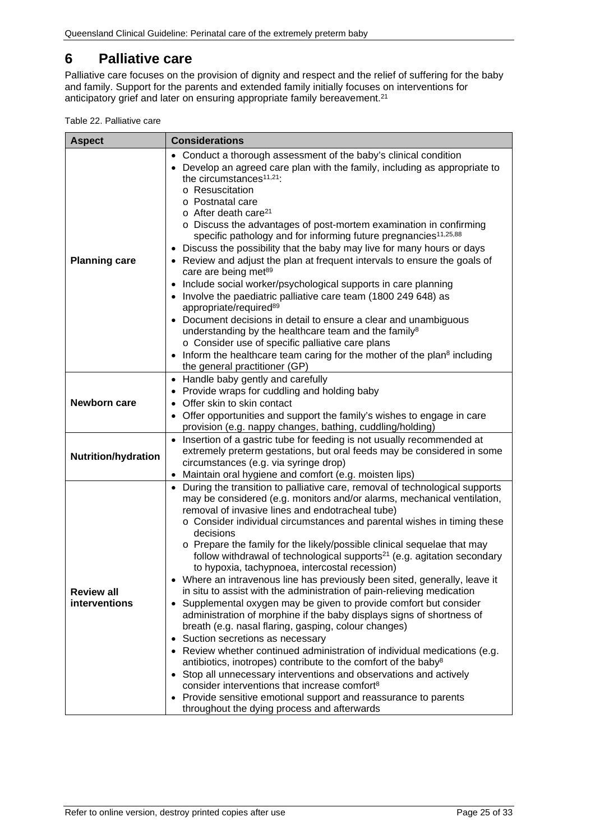### <span id="page-24-0"></span>**6 Palliative care**

Palliative care focuses on the provision of dignity and respect and the relief of suffering for the baby and family. Support for the parents and extended family initially focuses on interventions for anticipatory grief and later on ensuring appropriate family bereavement. 21

<span id="page-24-1"></span>Table 22. Palliative care

| <b>Aspect</b>                      | <b>Considerations</b>                                                                                                                                                                                                                                                                                                                                                                                                                                                                                                                                                                                                                                                                                                                                                                                                                                                                                                                                                                                                                                                                                                                                                                                                                                                                                                                         |  |  |
|------------------------------------|-----------------------------------------------------------------------------------------------------------------------------------------------------------------------------------------------------------------------------------------------------------------------------------------------------------------------------------------------------------------------------------------------------------------------------------------------------------------------------------------------------------------------------------------------------------------------------------------------------------------------------------------------------------------------------------------------------------------------------------------------------------------------------------------------------------------------------------------------------------------------------------------------------------------------------------------------------------------------------------------------------------------------------------------------------------------------------------------------------------------------------------------------------------------------------------------------------------------------------------------------------------------------------------------------------------------------------------------------|--|--|
| <b>Planning care</b>               | • Conduct a thorough assessment of the baby's clinical condition<br>• Develop an agreed care plan with the family, including as appropriate to<br>the circumstances <sup>11,21</sup> :<br>o Resuscitation<br>o Postnatal care<br>o After death care <sup>21</sup><br>o Discuss the advantages of post-mortem examination in confirming<br>specific pathology and for informing future pregnancies <sup>11,25,88</sup><br>• Discuss the possibility that the baby may live for many hours or days<br>• Review and adjust the plan at frequent intervals to ensure the goals of<br>care are being met <sup>89</sup><br>• Include social worker/psychological supports in care planning<br>• Involve the paediatric palliative care team (1800 249 648) as<br>appropriate/required <sup>89</sup><br>• Document decisions in detail to ensure a clear and unambiguous<br>understanding by the healthcare team and the family <sup>8</sup><br>o Consider use of specific palliative care plans<br>• Inform the healthcare team caring for the mother of the plan <sup>8</sup> including<br>the general practitioner (GP)                                                                                                                                                                                                                           |  |  |
| Newborn care                       | • Handle baby gently and carefully<br>• Provide wraps for cuddling and holding baby<br>• Offer skin to skin contact<br>• Offer opportunities and support the family's wishes to engage in care<br>provision (e.g. nappy changes, bathing, cuddling/holding)                                                                                                                                                                                                                                                                                                                                                                                                                                                                                                                                                                                                                                                                                                                                                                                                                                                                                                                                                                                                                                                                                   |  |  |
| <b>Nutrition/hydration</b>         | • Insertion of a gastric tube for feeding is not usually recommended at<br>extremely preterm gestations, but oral feeds may be considered in some<br>circumstances (e.g. via syringe drop)<br>• Maintain oral hygiene and comfort (e.g. moisten lips)                                                                                                                                                                                                                                                                                                                                                                                                                                                                                                                                                                                                                                                                                                                                                                                                                                                                                                                                                                                                                                                                                         |  |  |
| <b>Review all</b><br>interventions | • During the transition to palliative care, removal of technological supports<br>may be considered (e.g. monitors and/or alarms, mechanical ventilation,<br>removal of invasive lines and endotracheal tube)<br>o Consider individual circumstances and parental wishes in timing these<br>decisions<br>o Prepare the family for the likely/possible clinical sequelae that may<br>follow withdrawal of technological supports <sup>21</sup> (e.g. agitation secondary<br>to hypoxia, tachypnoea, intercostal recession)<br>• Where an intravenous line has previously been sited, generally, leave it<br>in situ to assist with the administration of pain-relieving medication<br>• Supplemental oxygen may be given to provide comfort but consider<br>administration of morphine if the baby displays signs of shortness of<br>breath (e.g. nasal flaring, gasping, colour changes)<br>• Suction secretions as necessary<br>• Review whether continued administration of individual medications (e.g.<br>antibiotics, inotropes) contribute to the comfort of the baby <sup>8</sup><br>• Stop all unnecessary interventions and observations and actively<br>consider interventions that increase comfort <sup>8</sup><br>• Provide sensitive emotional support and reassurance to parents<br>throughout the dying process and afterwards |  |  |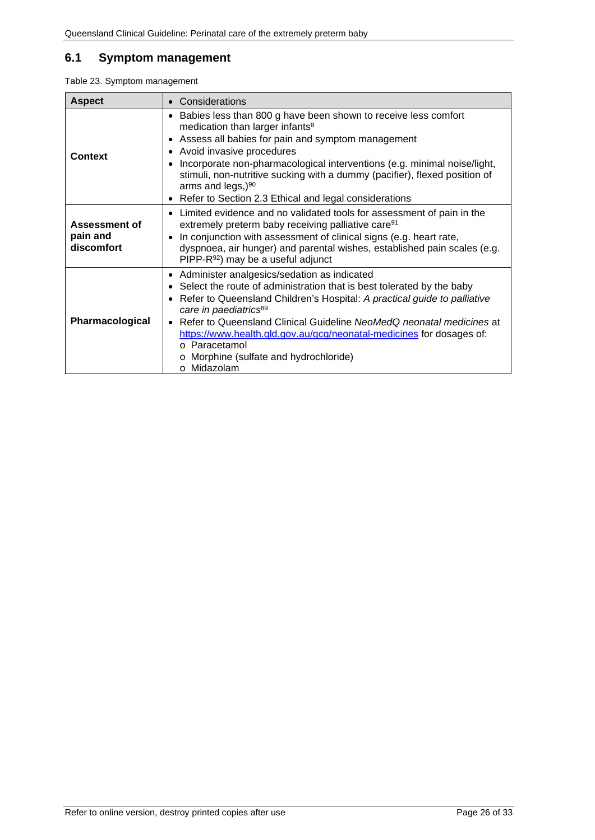### <span id="page-25-0"></span>**6.1 Symptom management**

<span id="page-25-1"></span>

|  | Table 23. Symptom management |
|--|------------------------------|
|  |                              |

| <b>Aspect</b>                                  | • Considerations                                                                                                                                                                                                                                                                                                                                                                                                                                                        |  |  |
|------------------------------------------------|-------------------------------------------------------------------------------------------------------------------------------------------------------------------------------------------------------------------------------------------------------------------------------------------------------------------------------------------------------------------------------------------------------------------------------------------------------------------------|--|--|
| <b>Context</b>                                 | • Babies less than 800 g have been shown to receive less comfort<br>medication than larger infants <sup>8</sup><br>• Assess all babies for pain and symptom management<br>• Avoid invasive procedures<br>Incorporate non-pharmacological interventions (e.g. minimal noise/light,<br>stimuli, non-nutritive sucking with a dummy (pacifier), flexed position of<br>arms and legs,) <sup>90</sup><br>• Refer to Section 2.3 Ethical and legal considerations             |  |  |
| <b>Assessment of</b><br>pain and<br>discomfort | Limited evidence and no validated tools for assessment of pain in the<br>extremely preterm baby receiving palliative care <sup>91</sup><br>In conjunction with assessment of clinical signs (e.g. heart rate,<br>dyspnoea, air hunger) and parental wishes, established pain scales (e.g.<br>PIPP-R <sup>92</sup> ) may be a useful adjunct                                                                                                                             |  |  |
| Pharmacological                                | • Administer analgesics/sedation as indicated<br>• Select the route of administration that is best tolerated by the baby<br>• Refer to Queensland Children's Hospital: A practical guide to palliative<br>care in paediatrics <sup>89</sup><br>• Refer to Queensland Clinical Guideline NeoMedQ neonatal medicines at<br>https://www.health.qld.gov.au/qcg/neonatal-medicines for dosages of:<br>o Paracetamol<br>o Morphine (sulfate and hydrochloride)<br>o Midazolam |  |  |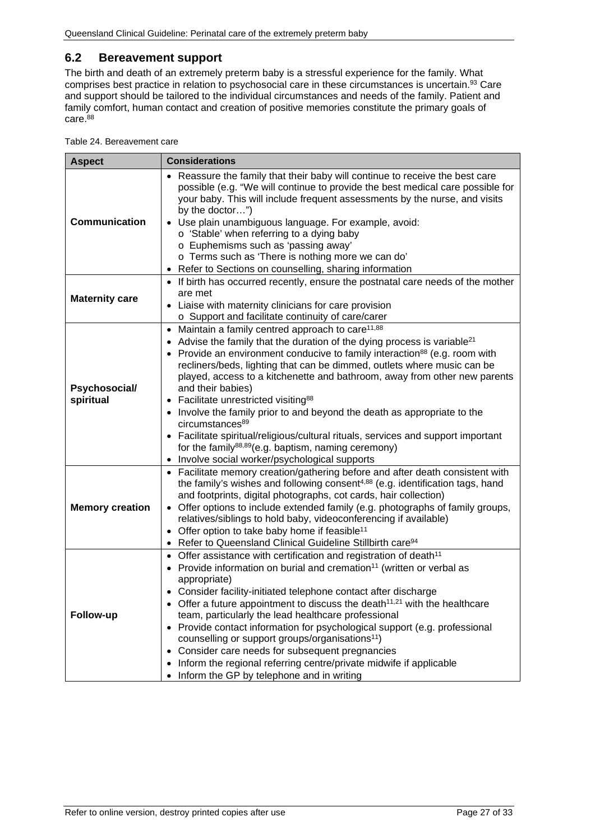#### <span id="page-26-0"></span>**6.2 Bereavement support**

The birth and death of an extremely preterm baby is a stressful experience for the family. What comprises best practice in relation to psychosocial care in these circumstances is uncertain.<sup>93</sup> Care and support should be tailored to the individual circumstances and needs of the family. Patient and family comfort, human contact and creation of positive memories constitute the primary goals of care.<sup>88</sup>

<span id="page-26-1"></span>Table 24. Bereavement care

| <b>Aspect</b>              | <b>Considerations</b>                                                                                                                                                                                                                                                                                                                                                                                                                                                                                                                                                                                                                                                                                                                                                                                             |  |  |
|----------------------------|-------------------------------------------------------------------------------------------------------------------------------------------------------------------------------------------------------------------------------------------------------------------------------------------------------------------------------------------------------------------------------------------------------------------------------------------------------------------------------------------------------------------------------------------------------------------------------------------------------------------------------------------------------------------------------------------------------------------------------------------------------------------------------------------------------------------|--|--|
| Communication              | • Reassure the family that their baby will continue to receive the best care<br>possible (e.g. "We will continue to provide the best medical care possible for<br>your baby. This will include frequent assessments by the nurse, and visits<br>by the doctor")<br>• Use plain unambiguous language. For example, avoid:<br>o 'Stable' when referring to a dying baby<br>o Euphemisms such as 'passing away'<br>o Terms such as 'There is nothing more we can do'<br>• Refer to Sections on counselling, sharing information                                                                                                                                                                                                                                                                                      |  |  |
| <b>Maternity care</b>      | • If birth has occurred recently, ensure the postnatal care needs of the mother<br>are met<br>Liaise with maternity clinicians for care provision<br>o Support and facilitate continuity of care/carer                                                                                                                                                                                                                                                                                                                                                                                                                                                                                                                                                                                                            |  |  |
| Psychosocial/<br>spiritual | Maintain a family centred approach to care <sup>11,88</sup><br>$\bullet$<br>• Advise the family that the duration of the dying process is variable <sup>21</sup><br>• Provide an environment conducive to family interaction <sup>88</sup> (e.g. room with<br>recliners/beds, lighting that can be dimmed, outlets where music can be<br>played, access to a kitchenette and bathroom, away from other new parents<br>and their babies)<br>• Facilitate unrestricted visiting <sup>88</sup><br>• Involve the family prior to and beyond the death as appropriate to the<br>circumstances <sup>89</sup><br>Facilitate spiritual/religious/cultural rituals, services and support important<br>for the family <sup>88,89</sup> (e.g. baptism, naming ceremony)<br>Involve social worker/psychological supports<br>٠ |  |  |
| <b>Memory creation</b>     | • Facilitate memory creation/gathering before and after death consistent with<br>the family's wishes and following consent <sup>4,88</sup> (e.g. identification tags, hand<br>and footprints, digital photographs, cot cards, hair collection)<br>Offer options to include extended family (e.g. photographs of family groups,<br>relatives/siblings to hold baby, videoconferencing if available)<br>• Offer option to take baby home if feasible <sup>11</sup><br>• Refer to Queensland Clinical Guideline Stillbirth care <sup>94</sup>                                                                                                                                                                                                                                                                        |  |  |
| Follow-up                  | • Offer assistance with certification and registration of death <sup>11</sup><br>• Provide information on burial and cremation <sup>11</sup> (written or verbal as<br>appropriate)<br>• Consider facility-initiated telephone contact after discharge<br>Offer a future appointment to discuss the death <sup>11,21</sup> with the healthcare<br>team, particularly the lead healthcare professional<br>• Provide contact information for psychological support (e.g. professional<br>counselling or support groups/organisations <sup>11</sup> )<br>Consider care needs for subsequent pregnancies<br>$\bullet$<br>Inform the regional referring centre/private midwife if applicable<br>٠<br>Inform the GP by telephone and in writing                                                                          |  |  |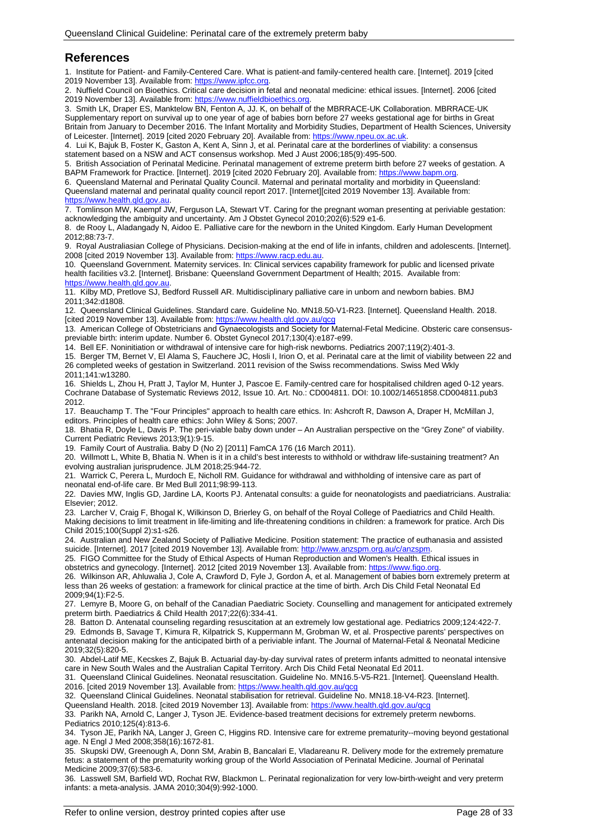#### <span id="page-27-0"></span>**References**

1. Institute for Patient- and Family-Centered Care. What is patient-and family-centered health care. [Internet]. 2019 [cited 2019 November 13]. Available from[: https://www.ipfcc.org.](https://www.ipfcc.org/)

2. Nuffield Council on Bioethics. Critical care decision in fetal and neonatal medicine: ethical issues. [Internet]. 2006 [cited 2019 November 13]. Available from: https://www.nuffieldbioethics

3. Smith LK, Draper ES, Manktelow BN, Fenton A, JJ. K, on behalf of the MBRRACE-UK Collaboration. MBRRACE-UK Supplementary report on survival up to one year of age of babies born before 27 weeks gestational age for births in Great Britain from January to December 2016. The Infant Mortality and Morbidity Studies, Department of Health Sciences, University of Leicester. [Internet]. 2019 [cited 2020 February 20]. Available from: https://www.npeu.ox.ac.uk

4. Lui K, Bajuk B, Foster K, Gaston A, Kent A, Sinn J, et al. Perinatal care at the borderlines of viability: a consensus statement based on a NSW and ACT consensus workshop. Med J Aust 2006;185(9):495-500.

5. British Association of Perinatal Medicine. Perinatal management of extreme preterm birth before 27 weeks of gestation. A BAPM Framework for Practice. [Internet]. 2019 [cited 2020 February 20]. Available from: https://ww

6. Queensland Maternal and Perinatal Quality Council. Maternal and perinatal mortality and morbidity in Queensland: Queensland maternal and perinatal quality council report 2017. [Internet][cited 2019 November 13]. Available from:

[https://www.health.qld.gov.au.](https://www.health.qld.gov.au/)

7. Tomlinson MW, Kaempf JW, Ferguson LA, Stewart VT. Caring for the pregnant woman presenting at periviable gestation: acknowledging the ambiguity and uncertainty. Am J Obstet Gynecol 2010;202(6):529 e1-6.

8. de Rooy L, Aladangady N, Aidoo E. Palliative care for the newborn in the United Kingdom. Early Human Development 2012;88:73-7.

9. Royal Australiasian College of Physicians. Decision-making at the end of life in infants, children and adolescents. [Internet]. 2008 [cited 2019 November 13]. Available from: [https://www.racp.edu.au.](https://www.racp.edu.au/)

10. Queensland Government. Maternity services. In: Clinical services capability framework for public and licensed private health facilities v3.2. [Internet]. Brisbane: Queensland Government Department of Health; 2015. Available from: [https://www.health.qld.gov.au.](https://www.health.qld.gov.au/)

11. Kilby MD, Pretlove SJ, Bedford Russell AR. Multidisciplinary palliative care in unborn and newborn babies. BMJ 2011;342:d1808.

12. Queensland Clinical Guidelines. Standard care. Guideline No. MN18.50-V1-R23. [Internet]. Queensland Health. 2018. [cited 2019 November 13]. Available from:<https://www.health.qld.gov.au/qcg>

13. American College of Obstetricians and Gynaecologists and Society for Maternal-Fetal Medicine. Obsteric care consensuspreviable birth: interim update. Number 6. Obstet Gynecol 2017;130(4):e187-e99.

14. Bell EF. Noninitiation or withdrawal of intensive care for high-risk newborns. Pediatrics 2007;119(2):401-3.

15. Berger TM, Bernet V, El Alama S, Fauchere JC, Hosli I, Irion O, et al. Perinatal care at the limit of viability between 22 and 26 completed weeks of gestation in Switzerland. 2011 revision of the Swiss recommendations. Swiss Med Wkly 2011;141:w13280.

16. Shields L, Zhou H, Pratt J, Taylor M, Hunter J, Pascoe E. Family-centred care for hospitalised children aged 0-12 years. Cochrane Database of Systematic Reviews 2012, Issue 10. Art. No.: CD004811. DOI: 10.1002/14651858.CD004811.pub3 2012.

17. Beauchamp T. The "Four Principles" approach to health care ethics. In: Ashcroft R, Dawson A, Draper H, McMillan J, editors. Principles of health care ethics: John Wiley & Sons; 2007.

18. Bhatia R, Doyle L, Davis P. The peri-viable baby down under – An Australian perspective on the "Grey Zone" of viability. Current Pediatric Reviews 2013;9(1):9-15.

19. Family Court of Australia. Baby D (No 2) [2011] FamCA 176 (16 March 2011).

20. Willmott L, White B, Bhatia N. When is it in a child's best interests to withhold or withdraw life-sustaining treatment? An evolving australian jurisprudence. JLM 2018;25:944-72.

21. Warrick C, Perera L, Murdoch E, Nicholl RM. Guidance for withdrawal and withholding of intensive care as part of neonatal end-of-life care. Br Med Bull 2011;98:99-113.

22. Davies MW, Inglis GD, Jardine LA, Koorts PJ. Antenatal consults: a guide for neonatologists and paediatricians. Australia: Elsevier; 2012.

23. Larcher V, Craig F, Bhogal K, Wilkinson D, Brierley G, on behalf of the Royal College of Paediatrics and Child Health. Making decisions to limit treatment in life-limiting and life-threatening conditions in children: a framework for pratice. Arch Dis Child 2015;100(Suppl 2):s1-s26.

24. Australian and New Zealand Society of Palliative Medicine. Position statement: The practice of euthanasia and assisted suicide. [Internet]. 2017 [cited 2019 November 13]. Available from[: http://www.anzspm.org.au/c/anzspm.](http://www.anzspm.org.au/c/anzspm)

25. FIGO Committee for the Study of Ethical Aspects of Human Reproduction and Women's Health. Ethical issues in obstetrics and gynecology. [Internet]. 2012 [cited 2019 November 13]. Available from: [https://www.figo.org.](https://www.figo.org/)

26. Wilkinson AR, Ahluwalia J, Cole A, Crawford D, Fyle J, Gordon A, et al. Management of babies born extremely preterm at less than 26 weeks of gestation: a framework for clinical practice at the time of birth. Arch Dis Child Fetal Neonatal Ed 2009;94(1):F2-5.

27. Lemyre B, Moore G, on behalf of the Canadian Paediatric Society. Counselling and management for anticipated extremely preterm birth. Paediatrics & Child Health 2017;22(6):334-41.

28. Batton D. Antenatal counseling regarding resuscitation at an extremely low gestational age. Pediatrics 2009;124:422-7. 29. Edmonds B, Savage T, Kimura R, Kilpatrick S, Kuppermann M, Grobman W, et al. Prospective parents' perspectives on antenatal decision making for the anticipated birth of a periviable infant. The Journal of Maternal-Fetal & Neonatal Medicine 2019;32(5):820-5.

30. Abdel-Latif ME, Kecskes Z, Bajuk B. Actuarial day-by-day survival rates of preterm infants admitted to neonatal intensive care in New South Wales and the Australian Capital Territory. Arch Dis Child Fetal Neonatal Ed 2011.

31. Queensland Clinical Guidelines. Neonatal resuscitation. Guideline No. MN16.5-V5-R21. [Internet]. Queensland Health. 2016. [cited 2019 November 13]. Available from[: https://www.health.qld.gov.au/qcg](https://www.health.qld.gov.au/qcg)

32. Queensland Clinical Guidelines. Neonatal stabilisation for retrieval. Guideline No. MN18.18-V4-R23. [Internet].

Queensland Health. 2018. [cited 2019 November 13]. Available from: https://www.health.qld.gov.au/qc

33. Parikh NA, Arnold C, Langer J, Tyson JE. Evidence-based treatment decisions for extremely preterm newborns. Pediatrics 2010;125(4):813-6.

34. Tyson JE, Parikh NA, Langer J, Green C, Higgins RD. Intensive care for extreme prematurity--moving beyond gestational age. N Engl J Med 2008;358(16):1672-81.

35. Skupski DW, Greenough A, Donn SM, Arabin B, Bancalari E, Vladareanu R. Delivery mode for the extremely premature fetus: a statement of the prematurity working group of the World Association of Perinatal Medicine. Journal of Perinatal Medicine 2009;37(6):583-6.

36. Lasswell SM, Barfield WD, Rochat RW, Blackmon L. Perinatal regionalization for very low-birth-weight and very preterm infants: a meta-analysis. JAMA 2010;304(9):992-1000.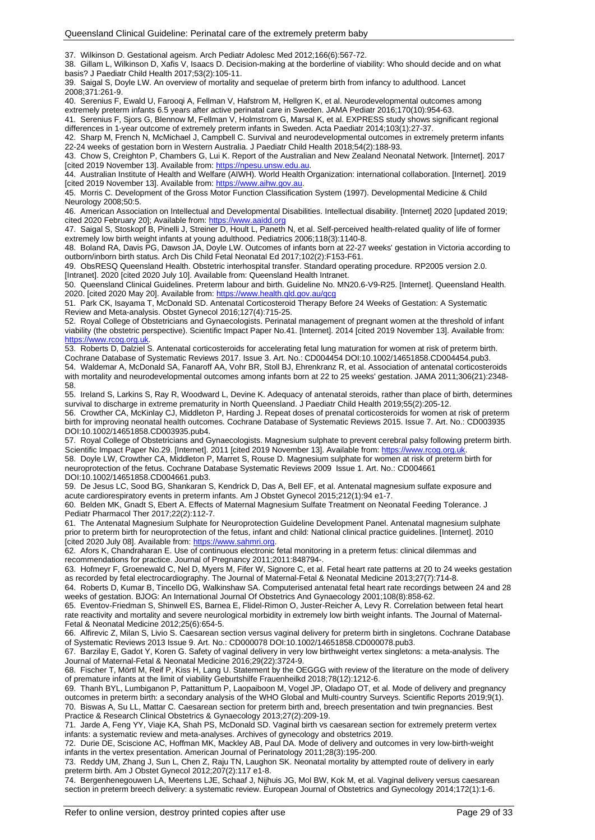37. Wilkinson D. Gestational ageism. Arch Pediatr Adolesc Med 2012;166(6):567-72.

38. Gillam L, Wilkinson D, Xafis V, Isaacs D. Decision-making at the borderline of viability: Who should decide and on what basis? J Paediatr Child Health 2017;53(2):105-11.

39. Saigal S, Doyle LW. An overview of mortality and sequelae of preterm birth from infancy to adulthood. Lancet 2008;371:261-9.

40. Serenius F, Ewald U, Farooqi A, Fellman V, Hafstrom M, Hellgren K, et al. Neurodevelopmental outcomes among extremely preterm infants 6.5 years after active perinatal care in Sweden. JAMA Pediatr 2016;170(10):954-63.

41. Serenius F, Sjors G, Blennow M, Fellman V, Holmstrom G, Marsal K, et al. EXPRESS study shows significant regional differences in 1-year outcome of extremely preterm infants in Sweden. Acta Paediatr 2014;103(1):27-37.

42. Sharp M, French N, McMichael J, Campbell C. Survival and neurodevelopmental outcomes in extremely preterm infants 22-24 weeks of gestation born in Western Australia. J Paediatr Child Health 2018;54(2):188-93.

43. Chow S, Creighton P, Chambers G, Lui K. Report of the Australian and New Zealand Neonatal Network. [Internet]. 2017 [cited 2019 November 13]. Available from: https://npesu.unsw.edu.au

44. Australian Institute of Health and Welfare (AIWH). World Health Organization: international collaboration. [Internet]. 2019 [cited 2019 November 13]. Available from: [https://www.aihw.gov.au.](https://www.aihw.gov.au/)

45. Morris C. Development of the Gross Motor Function Classification System (1997). Developmental Medicine & Child Neurology 2008;50:5.

46. American Association on Intellectual and Developmental Disabilities. Intellectual disability. [Internet] 2020 [updated 2019; cited 2020 February 20]; Available from: [https://www.aaidd.org](https://www.aaidd.org/)

47. Saigal S, Stoskopf B, Pinelli J, Streiner D, Hoult L, Paneth N, et al. Self-perceived health-related quality of life of former extremely low birth weight infants at young adulthood. Pediatrics 2006;118(3):1140-8.

48. Boland RA, Davis PG, Dawson JA, Doyle LW. Outcomes of infants born at 22-27 weeks' gestation in Victoria according to outborn/inborn birth status. Arch Dis Child Fetal Neonatal Ed 2017;102(2):F153-F61.

49. ObsRESQ Queensland Health. Obstetric interhospital transfer. Standard operating procedure. RP2005 version 2.0. [Intranet]. 2020 [cited 2020 July 10]. Available from: Queensland Health Intranet.

50. Queensland Clinical Guidelines. Preterm labour and birth. Guideline No. MN20.6-V9-R25. [Internet]. Queensland Health. 2020. [cited 2020 May 20]. Available from[: https://www.health.qld.gov.au/qcg](https://www.health.qld.gov.au/qcg)

51. Park CK, Isayama T, McDonald SD. Antenatal Corticosteroid Therapy Before 24 Weeks of Gestation: A Systematic Review and Meta-analysis. Obstet Gynecol 2016;127(4):715-25.

52. Royal College of Obstetricians and Gynaecologists. Perinatal management of pregnant women at the threshold of infant viability (the obstetric perspective). Scientific Impact Paper No.41. [Internet]. 2014 [cited 2019 November 13]. Available from: [https://www.rcog.org.uk.](https://www.rcog.org.uk/)

53. Roberts D, Dalziel S. Antenatal corticosteroids for accelerating fetal lung maturation for women at risk of preterm birth. Cochrane Database of Systematic Reviews 2017. Issue 3. Art. No.: CD004454 DOI:10.1002/14651858.CD004454.pub3. 54. Waldemar A, McDonald SA, Fanaroff AA, Vohr BR, Stoll BJ, Ehrenkranz R, et al. Association of antenatal corticosteroids with mortality and neurodevelopmental outcomes among infants born at 22 to 25 weeks' gestation. JAMA 2011;306(21):2348- 58.

55. Ireland S, Larkins S, Ray R, Woodward L, Devine K. Adequacy of antenatal steroids, rather than place of birth, determines survival to discharge in extreme prematurity in North Queensland. J Paediatr Child Health 2019;55(2):205-12.

56. Crowther CA, McKinlay CJ, Middleton P, Harding J. Repeat doses of prenatal corticosteroids for women at risk of preterm birth for improving neonatal health outcomes. Cochrane Database of Systematic Reviews 2015. Issue 7. Art. No.: CD003935 DOI:10.1002/14651858.CD003935.pub4.

57. Royal College of Obstetricians and Gynaecologists. Magnesium sulphate to prevent cerebral palsy following preterm birth. Scientific Impact Paper No.29. [Internet]. 2011 [cited 2019 November 13]. Available from: https://www.rcog.org.u

58. Doyle LW, Crowther CA, Middleton P, Marret S, Rouse D. Magnesium sulphate for women at risk of preterm birth for neuroprotection of the fetus. Cochrane Database Systematic Reviews 2009 Issue 1. Art. No.: CD004661 DOI:10.1002/14651858.CD004661.pub3.

59. De Jesus LC, Sood BG, Shankaran S, Kendrick D, Das A, Bell EF, et al. Antenatal magnesium sulfate exposure and acute cardiorespiratory events in preterm infants. Am J Obstet Gynecol 2015;212(1):94 e1-7.

60. Belden MK, Gnadt S, Ebert A. Effects of Maternal Magnesium Sulfate Treatment on Neonatal Feeding Tolerance. J Pediatr Pharmacol Ther 2017;22(2):112-7.

61. The Antenatal Magnesium Sulphate for Neuroprotection Guideline Development Panel. Antenatal magnesium sulphate prior to preterm birth for neuroprotection of the fetus, infant and child: National clinical practice guidelines. [Internet]. 2010 [cited 2020 July 08]. Available from[: https://www.sahmri.org.](https://www.sahmri.org/)

62. Afors K, Chandraharan E. Use of continuous electronic fetal monitoring in a preterm fetus: clinical dilemmas and recommendations for practice. Journal of Pregnancy 2011;2011:848794-.

63. Hofmeyr F, Groenewald C, Nel D, Myers M, Fifer W, Signore C, et al. Fetal heart rate patterns at 20 to 24 weeks gestation as recorded by fetal electrocardiography. The Journal of Maternal-Fetal & Neonatal Medicine 2013;27(7):714-8.

64. Roberts D, Kumar B, Tincello DG, Walkinshaw SA. Computerised antenatal fetal heart rate recordings between 24 and 28 weeks of gestation. BJOG: An International Journal Of Obstetrics And Gynaecology 2001;108(8):858-62.

65. Eventov-Friedman S, Shinwell ES, Barnea E, Flidel-Rimon O, Juster-Reicher A, Levy R. Correlation between fetal heart rate reactivity and mortality and severe neurological morbidity in extremely low birth weight infants. The Journal of Maternal-Fetal & Neonatal Medicine 2012;25(6):654-5.

66. Alfirevic Z, Milan S, Livio S. Caesarean section versus vaginal delivery for preterm birth in singletons. Cochrane Database of Systematic Reviews 2013 Issue 9. Art. No.: CD000078 DOI:10.1002/14651858.CD000078.pub3.

67. Barzilay E, Gadot Y, Koren G. Safety of vaginal delivery in very low birthweight vertex singletons: a meta-analysis. The Journal of Maternal-Fetal & Neonatal Medicine 2016;29(22):3724-9.

68. Fischer T, Mörtl M, Reif P, Kiss H, Lang U. Statement by the OEGGG with review of the literature on the mode of delivery of premature infants at the limit of viability Geburtshilfe Frauenheilkd 2018;78(12):1212-6.

69. Thanh BYL, Lumbiganon P, Pattanittum P, Laopaiboon M, Vogel JP, Oladapo OT, et al. Mode of delivery and pregnancy outcomes in preterm birth: a secondary analysis of the WHO Global and Multi-country Surveys. Scientific Reports 2019;9(1). 70. Biswas A, Su LL, Mattar C. Caesarean section for preterm birth and, breech presentation and twin pregnancies. Best Practice & Research Clinical Obstetrics & Gynaecology 2013;27(2):209-19.

71. Jarde A, Feng YY, Viaje KA, Shah PS, McDonald SD. Vaginal birth vs caesarean section for extremely preterm vertex infants: a systematic review and meta-analyses. Archives of gynecology and obstetrics 2019.

72. Durie DE, Sciscione AC, Hoffman MK, Mackley AB, Paul DA. Mode of delivery and outcomes in very low-birth-weight infants in the vertex presentation. American Journal of Perinatology 2011;28(3):195-200.

73. Reddy UM, Zhang J, Sun L, Chen Z, Raju TN, Laughon SK. Neonatal mortality by attempted route of delivery in early preterm birth. Am J Obstet Gynecol 2012;207(2):117 e1-8.

74. Bergenhenegouwen LA, Meertens LJE, Schaaf J, Nijhuis JG, Mol BW, Kok M, et al. Vaginal delivery versus caesarean section in preterm breech delivery: a systematic review. European Journal of Obstetrics and Gynecology 2014;172(1):1-6.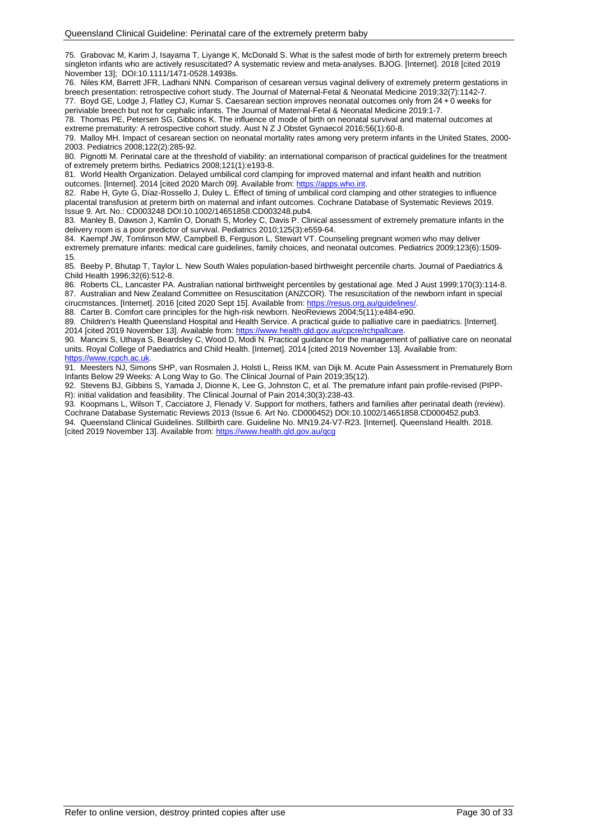75. Grabovac M, Karim J, Isayama T, Liyange K, McDonald S. What is the safest mode of birth for extremely preterm breech singleton infants who are actively resuscitated? A systematic review and meta-analyses. BJOG. [Internet]. 2018 [cited 2019 November 13]; DOI:10.1111/1471-0528.14938s.

76. Niles KM, Barrett JFR, Ladhani NNN. Comparison of cesarean versus vaginal delivery of extremely preterm gestations in breech presentation: retrospective cohort study. The Journal of Maternal-Fetal & Neonatal Medicine 2019;32(7):1142-7. 77. Boyd GE, Lodge J, Flatley CJ, Kumar S. Caesarean section improves neonatal outcomes only from 24 + 0 weeks for

periviable breech but not for cephalic infants. The Journal of Maternal-Fetal & Neonatal Medicine 2019:1-7.

78. Thomas PE, Petersen SG, Gibbons K. The influence of mode of birth on neonatal survival and maternal outcomes at extreme prematurity: A retrospective cohort study. Aust N Z J Obstet Gynaecol 2016;56(1):60-8.

79. Malloy MH. Impact of cesarean section on neonatal mortality rates among very preterm infants in the United States, 2000- 2003. Pediatrics 2008;122(2):285-92.

80. Pignotti M. Perinatal care at the threshold of viability: an international comparison of practical guidelines for the treatment of extremely preterm births. Pediatrics 2008;121(1):e193-8.

81. World Health Organization. Delayed umbilical cord clamping for improved maternal and infant health and nutrition outcomes. [Internet]. 2014 [cited 2020 March 09]. Available from: https://apps.who.int

82. Rabe H, Gyte G, Díaz-Rossello J, Duley L. Effect of timing of umbilical cord clamping and other strategies to influence placental transfusion at preterm birth on maternal and infant outcomes. Cochrane Database of Systematic Reviews 2019. Issue 9. Art. No.: CD003248 DOI:10.1002/14651858.CD003248.pub4.

83. Manley B, Dawson J, Kamlin O, Donath S, Morley C, Davis P. Clinical assessment of extremely premature infants in the delivery room is a poor predictor of survival. Pediatrics 2010;125(3):e559-64.

84. Kaempf JW, Tomlinson MW, Campbell B, Ferguson L, Stewart VT. Counseling pregnant women who may deliver extremely premature infants: medical care guidelines, family choices, and neonatal outcomes. Pediatrics 2009;123(6):1509- 15.

85. Beeby P, Bhutap T, Taylor L. New South Wales population-based birthweight percentile charts. Journal of Paediatrics & Child Health 1996;32(6):512-8.

86. Roberts CL, Lancaster PA. Australian national birthweight percentiles by gestational age. Med J Aust 1999;170(3):114-8. 87. Australian and New Zealand Committee on Resuscitation (ANZCOR). The resuscitation of the newborn infant in special cirucmstances. [Internet]. 2016 [cited 2020 Sept 15]. Available from[: https://resus.org.au/guidelines/.](https://resus.org.au/guidelines/)

88. Carter B. Comfort care principles for the high-risk newborn. NeoReviews 2004;5(11):e484-e90.

89. Children's Health Queensland Hospital and Health Service. A practical guide to palliative care in paediatrics. [Internet]. 2014 [cited 2019 November 13]. Available from: [https://www.health.qld.gov.au/cpcre/rchpallcare.](https://www.health.qld.gov.au/cpcre/rchpallcare)

90. Mancini S, Uthaya S, Beardsley C, Wood D, Modi N. Practical guidance for the management of palliative care on neonatal units. Royal College of Paediatrics and Child Health. [Internet]. 2014 [cited 2019 November 13]. Available from: [https://www.rcpch.ac.uk.](https://www.rcpch.ac.uk/)

91. Meesters NJ, Simons SHP, van Rosmalen J, Holsti L, Reiss IKM, van Dijk M. Acute Pain Assessment in Prematurely Born Infants Below 29 Weeks: A Long Way to Go. The Clinical Journal of Pain 2019;35(12).

92. Stevens BJ, Gibbins S, Yamada J, Dionne K, Lee G, Johnston C, et al. The premature infant pain profile-revised (PIPP-R): initial validation and feasibility. The Clinical Journal of Pain 2014;30(3):238-43.

93. Koopmans L, Wilson T, Cacciatore J, Flenady V. Support for mothers, fathers and families after perinatal death (review). Cochrane Database Systematic Reviews 2013 (Issue 6. Art No. CD000452) DOI:10.1002/14651858.CD000452.pub3. 94. Queensland Clinical Guidelines. Stillbirth care. Guideline No. MN19.24-V7-R23. [Internet]. Queensland Health. 2018. [cited 2019 November 13]. Available from:<https://www.health.qld.gov.au/qcg>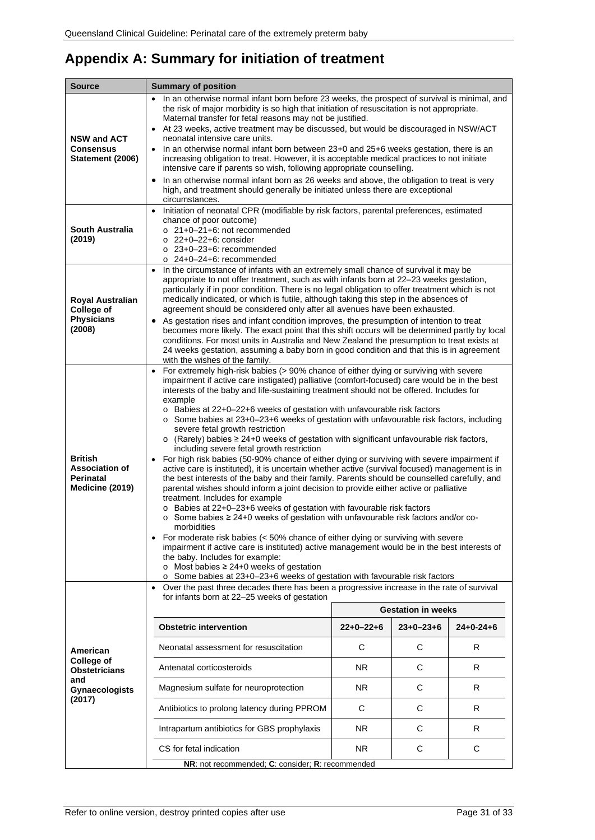## <span id="page-30-0"></span>**Appendix A: Summary for initiation of treatment**

| Source                                                                         | <b>Summary of position</b>                                                                                                                                                                                                                                                                                                                                                                                                                                                                                                                                                                                                                                                                                                                                                                                                                                                                                                                                                                                                                                                                                                                                                                                                                                                                                                                                                                                                                                                                                                                                                                                                                 |             |                           |             |
|--------------------------------------------------------------------------------|--------------------------------------------------------------------------------------------------------------------------------------------------------------------------------------------------------------------------------------------------------------------------------------------------------------------------------------------------------------------------------------------------------------------------------------------------------------------------------------------------------------------------------------------------------------------------------------------------------------------------------------------------------------------------------------------------------------------------------------------------------------------------------------------------------------------------------------------------------------------------------------------------------------------------------------------------------------------------------------------------------------------------------------------------------------------------------------------------------------------------------------------------------------------------------------------------------------------------------------------------------------------------------------------------------------------------------------------------------------------------------------------------------------------------------------------------------------------------------------------------------------------------------------------------------------------------------------------------------------------------------------------|-------------|---------------------------|-------------|
| <b>NSW and ACT</b><br>Consensus<br>Statement (2006)                            | In an otherwise normal infant born before 23 weeks, the prospect of survival is minimal, and<br>the risk of major morbidity is so high that initiation of resuscitation is not appropriate.<br>Maternal transfer for fetal reasons may not be justified.<br>At 23 weeks, active treatment may be discussed, but would be discouraged in NSW/ACT<br>neonatal intensive care units.<br>In an otherwise normal infant born between 23+0 and 25+6 weeks gestation, there is an<br>$\bullet$<br>increasing obligation to treat. However, it is acceptable medical practices to not initiate<br>intensive care if parents so wish, following appropriate counselling.<br>In an otherwise normal infant born as 26 weeks and above, the obligation to treat is very<br>$\bullet$<br>high, and treatment should generally be initiated unless there are exceptional<br>circumstances.                                                                                                                                                                                                                                                                                                                                                                                                                                                                                                                                                                                                                                                                                                                                                              |             |                           |             |
| <b>South Australia</b><br>(2019)                                               | Initiation of neonatal CPR (modifiable by risk factors, parental preferences, estimated<br>chance of poor outcome)<br>$\circ$ 21+0-21+6: not recommended<br>$\circ$ 22+0-22+6: consider<br>$\circ$ 23+0-23+6: recommended<br>$\circ$ 24+0-24+6: recommended                                                                                                                                                                                                                                                                                                                                                                                                                                                                                                                                                                                                                                                                                                                                                                                                                                                                                                                                                                                                                                                                                                                                                                                                                                                                                                                                                                                |             |                           |             |
| Royal Australian<br>College of<br><b>Physicians</b><br>(2008)                  | In the circumstance of infants with an extremely small chance of survival it may be<br>$\bullet$<br>appropriate to not offer treatment, such as with infants born at 22-23 weeks gestation,<br>particularly if in poor condition. There is no legal obligation to offer treatment which is not<br>medically indicated, or which is futile, although taking this step in the absences of<br>agreement should be considered only after all avenues have been exhausted.<br>• As gestation rises and infant condition improves, the presumption of intention to treat<br>becomes more likely. The exact point that this shift occurs will be determined partly by local<br>conditions. For most units in Australia and New Zealand the presumption to treat exists at<br>24 weeks gestation, assuming a baby born in good condition and that this is in agreement<br>with the wishes of the family.                                                                                                                                                                                                                                                                                                                                                                                                                                                                                                                                                                                                                                                                                                                                           |             |                           |             |
| <b>British</b><br><b>Association of</b><br><b>Perinatal</b><br>Medicine (2019) | For extremely high-risk babies (> 90% chance of either dying or surviving with severe<br>$\bullet$<br>impairment if active care instigated) palliative (comfort-focused) care would be in the best<br>interests of the baby and life-sustaining treatment should not be offered. Includes for<br>example<br>o Babies at 22+0-22+6 weeks of gestation with unfavourable risk factors<br>$\circ$ Some babies at 23+0-23+6 weeks of gestation with unfavourable risk factors, including<br>severe fetal growth restriction<br>(Rarely) babies $\geq 24+0$ weeks of gestation with significant unfavourable risk factors,<br>$\circ$<br>including severe fetal growth restriction<br>For high risk babies (50-90% chance of either dying or surviving with severe impairment if<br>active care is instituted), it is uncertain whether active (survival focused) management is in<br>the best interests of the baby and their family. Parents should be counselled carefully, and<br>parental wishes should inform a joint decision to provide either active or palliative<br>treatment. Includes for example<br>o Babies at 22+0-23+6 weeks of gestation with favourable risk factors<br>○ Some babies ≥ 24+0 weeks of gestation with unfavourable risk factors and/or co-<br>morbidities<br>For moderate risk babies (< 50% chance of either dying or surviving with severe<br>impairment if active care is instituted) active management would be in the best interests of<br>the baby. Includes for example:<br>o Most babies $\geq 24+0$ weeks of gestation<br>o Some babies at 23+0-23+6 weeks of gestation with favourable risk factors |             |                           |             |
|                                                                                | Over the past three decades there has been a progressive increase in the rate of survival                                                                                                                                                                                                                                                                                                                                                                                                                                                                                                                                                                                                                                                                                                                                                                                                                                                                                                                                                                                                                                                                                                                                                                                                                                                                                                                                                                                                                                                                                                                                                  |             |                           |             |
|                                                                                | for infants born at 22-25 weeks of gestation                                                                                                                                                                                                                                                                                                                                                                                                                                                                                                                                                                                                                                                                                                                                                                                                                                                                                                                                                                                                                                                                                                                                                                                                                                                                                                                                                                                                                                                                                                                                                                                               |             | <b>Gestation in weeks</b> |             |
|                                                                                | <b>Obstetric intervention</b>                                                                                                                                                                                                                                                                                                                                                                                                                                                                                                                                                                                                                                                                                                                                                                                                                                                                                                                                                                                                                                                                                                                                                                                                                                                                                                                                                                                                                                                                                                                                                                                                              | $22+0-22+6$ | $23+0-23+6$               | $24+0-24+6$ |
| American                                                                       | Neonatal assessment for resuscitation                                                                                                                                                                                                                                                                                                                                                                                                                                                                                                                                                                                                                                                                                                                                                                                                                                                                                                                                                                                                                                                                                                                                                                                                                                                                                                                                                                                                                                                                                                                                                                                                      | С           | С                         | R           |
| <b>College of</b><br><b>Obstetricians</b>                                      | Antenatal corticosteroids                                                                                                                                                                                                                                                                                                                                                                                                                                                                                                                                                                                                                                                                                                                                                                                                                                                                                                                                                                                                                                                                                                                                                                                                                                                                                                                                                                                                                                                                                                                                                                                                                  | NR.         | С                         | R           |
| and<br><b>Gynaecologists</b>                                                   | Magnesium sulfate for neuroprotection                                                                                                                                                                                                                                                                                                                                                                                                                                                                                                                                                                                                                                                                                                                                                                                                                                                                                                                                                                                                                                                                                                                                                                                                                                                                                                                                                                                                                                                                                                                                                                                                      | NR.         | С                         | R           |
| (2017)                                                                         | Antibiotics to prolong latency during PPROM                                                                                                                                                                                                                                                                                                                                                                                                                                                                                                                                                                                                                                                                                                                                                                                                                                                                                                                                                                                                                                                                                                                                                                                                                                                                                                                                                                                                                                                                                                                                                                                                | C           | C                         | R           |
|                                                                                | Intrapartum antibiotics for GBS prophylaxis                                                                                                                                                                                                                                                                                                                                                                                                                                                                                                                                                                                                                                                                                                                                                                                                                                                                                                                                                                                                                                                                                                                                                                                                                                                                                                                                                                                                                                                                                                                                                                                                | NR.         | С                         | R           |
|                                                                                | CS for fetal indication<br>NR.<br>С<br>С                                                                                                                                                                                                                                                                                                                                                                                                                                                                                                                                                                                                                                                                                                                                                                                                                                                                                                                                                                                                                                                                                                                                                                                                                                                                                                                                                                                                                                                                                                                                                                                                   |             |                           |             |
|                                                                                | NR: not recommended; C: consider; R: recommended                                                                                                                                                                                                                                                                                                                                                                                                                                                                                                                                                                                                                                                                                                                                                                                                                                                                                                                                                                                                                                                                                                                                                                                                                                                                                                                                                                                                                                                                                                                                                                                           |             |                           |             |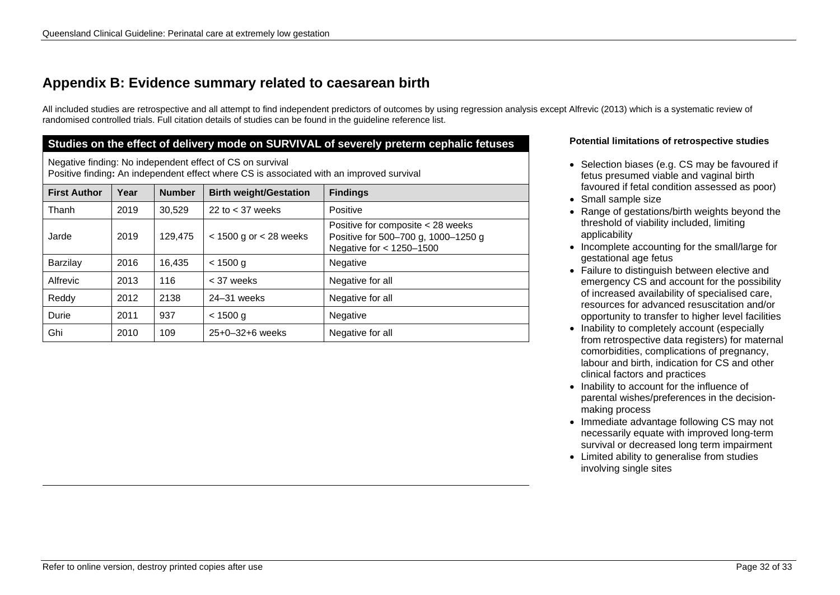### **Appendix B: Evidence summary related to caesarean birth**

All included studies are retrospective and all attempt to find independent predictors of outcomes by using regression analysis except Alfrevic (2013) which is a systematic review of randomised controlled trials. Full citation details of studies can be found in the guideline reference list.

#### **Studies on the effect of delivery mode on SURVIVAL of severely preterm cephalic fetuses Potential limitations of retrospective studies**

Negative finding: No independent effect of CS on survival Positive finding**:** An independent effect where CS is associated with an improved survival

<span id="page-31-0"></span>

| <b>First Author</b> | Year | <b>Number</b> | <b>Birth weight/Gestation</b> | <b>Findings</b>                                                                                      |
|---------------------|------|---------------|-------------------------------|------------------------------------------------------------------------------------------------------|
| Thanh               | 2019 | 30,529        | 22 to $<$ 37 weeks            | Positive                                                                                             |
| Jarde               | 2019 | 129,475       | $<$ 1500 g or $<$ 28 weeks    | Positive for composite < 28 weeks<br>Positive for 500-700 g, 1000-1250 g<br>Negative for < 1250-1500 |
| Barzilay            | 2016 | 16,435        | < 1500 g                      | Negative                                                                                             |
| Alfrevic            | 2013 | 116           | < 37 weeks                    | Negative for all                                                                                     |
| Reddy               | 2012 | 2138          | 24-31 weeks                   | Negative for all                                                                                     |
| Durie               | 2011 | 937           | < 1500 g                      | Negative                                                                                             |
| Ghi                 | 2010 | 109           | $25+0-32+6$ weeks             | Negative for all                                                                                     |

- Selection biases (e.g. CS may be favoured if fetus presumed viable and vaginal birth favoured if fetal condition assessed as poor)
- Small sample size
- Range of gestations/birth weights beyond the threshold of viability included, limiting applicability
- Incomplete accounting for the small/large for gestational age fetus
- Failure to distinguish between elective and emergency CS and account for the possibility of increased availability of specialised care, resources for advanced resuscitation and/or opportunity to transfer to higher level facilities
- Inability to completely account (especially from retrospective data registers) for maternal comorbidities, complications of pregnancy, labour and birth, indication for CS and other clinical factors and practices
- Inability to account for the influence of parental wishes/preferences in the decisionmaking process
- Immediate advantage following CS may not necessarily equate with improved long-term survival or decreased long term impairment
- Limited ability to generalise from studies involving single sites